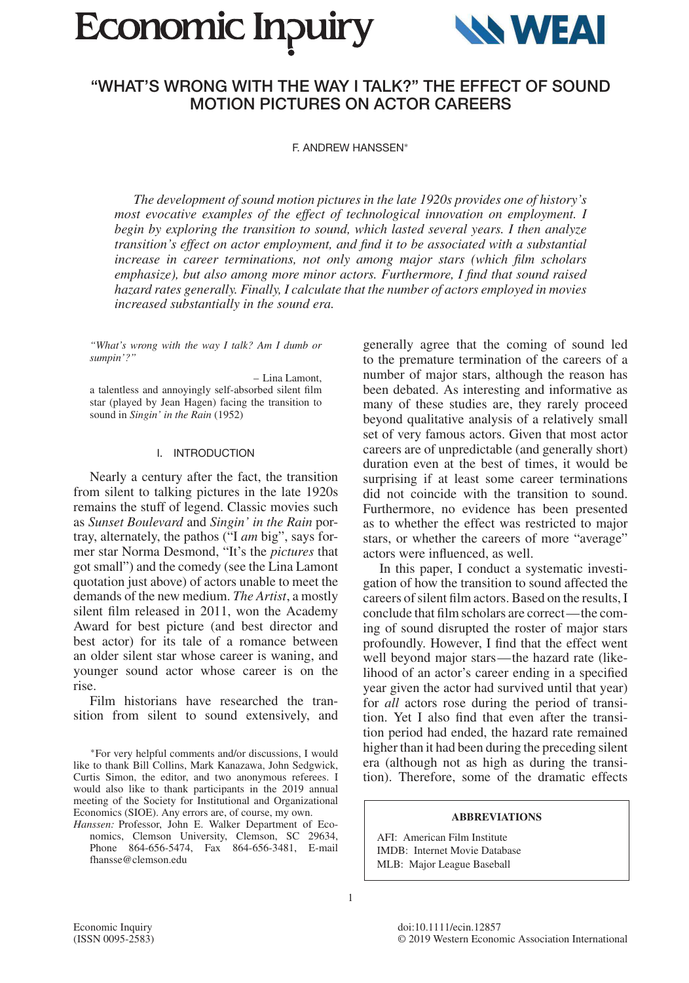# Economic Inpuiry



# "WHAT'S WRONG WITH THE WAY I TALK?" THE EFFECT OF SOUND MOTION PICTURES ON ACTOR CAREERS

F. ANDREW HANSSEN∗

*The development of sound motion pictures in the late 1920s provides one of history's most evocative examples of the effect of technological innovation on employment. I begin by exploring the transition to sound, which lasted several years. I then analyze transition's effect on actor employment, and find it to be associated with a substantial increase in career terminations, not only among major stars (which film scholars emphasize), but also among more minor actors. Furthermore, I find that sound raised hazard rates generally. Finally, I calculate that the number of actors employed in movies increased substantially in the sound era.*

*"What's wrong with the way I talk? Am I dumb or sumpin'?"*

– Lina Lamont, a talentless and annoyingly self-absorbed silent film star (played by Jean Hagen) facing the transition to sound in *Singin' in the Rain* (1952)

# I. INTRODUCTION

Nearly a century after the fact, the transition from silent to talking pictures in the late 1920s remains the stuff of legend. Classic movies such as *Sunset Boulevard* and *Singin' in the Rain* portray, alternately, the pathos ("I *am* big", says former star Norma Desmond, "It's the *pictures* that got small") and the comedy (see the Lina Lamont quotation just above) of actors unable to meet the demands of the new medium. *The Artist*, a mostly silent film released in 2011, won the Academy Award for best picture (and best director and best actor) for its tale of a romance between an older silent star whose career is waning, and younger sound actor whose career is on the rise.

Film historians have researched the transition from silent to sound extensively, and generally agree that the coming of sound led to the premature termination of the careers of a number of major stars, although the reason has been debated. As interesting and informative as many of these studies are, they rarely proceed beyond qualitative analysis of a relatively small set of very famous actors. Given that most actor careers are of unpredictable (and generally short) duration even at the best of times, it would be surprising if at least some career terminations did not coincide with the transition to sound. Furthermore, no evidence has been presented as to whether the effect was restricted to major stars, or whether the careers of more "average" actors were influenced, as well.

In this paper, I conduct a systematic investigation of how the transition to sound affected the careers of silent film actors. Based on the results, I conclude that film scholars are correct—the coming of sound disrupted the roster of major stars profoundly. However, I find that the effect went well beyond major stars—the hazard rate (likelihood of an actor's career ending in a specified year given the actor had survived until that year) for *all* actors rose during the period of transition. Yet I also find that even after the transition period had ended, the hazard rate remained higher than it had been during the preceding silent era (although not as high as during the transition). Therefore, some of the dramatic effects

#### **ABBREVIATIONS**

AFI: American Film Institute IMDB: Internet Movie Database MLB: Major League Baseball

<sup>∗</sup>For very helpful comments and/or discussions, I would like to thank Bill Collins, Mark Kanazawa, John Sedgwick, Curtis Simon, the editor, and two anonymous referees. I would also like to thank participants in the 2019 annual meeting of the Society for Institutional and Organizational Economics (SIOE). Any errors are, of course, my own.

*Hanssen:* Professor, John E. Walker Department of Economics, Clemson University, Clemson, SC 29634, Phone 864-656-5474, Fax 864-656-3481, E-mail fhansse@clemson.edu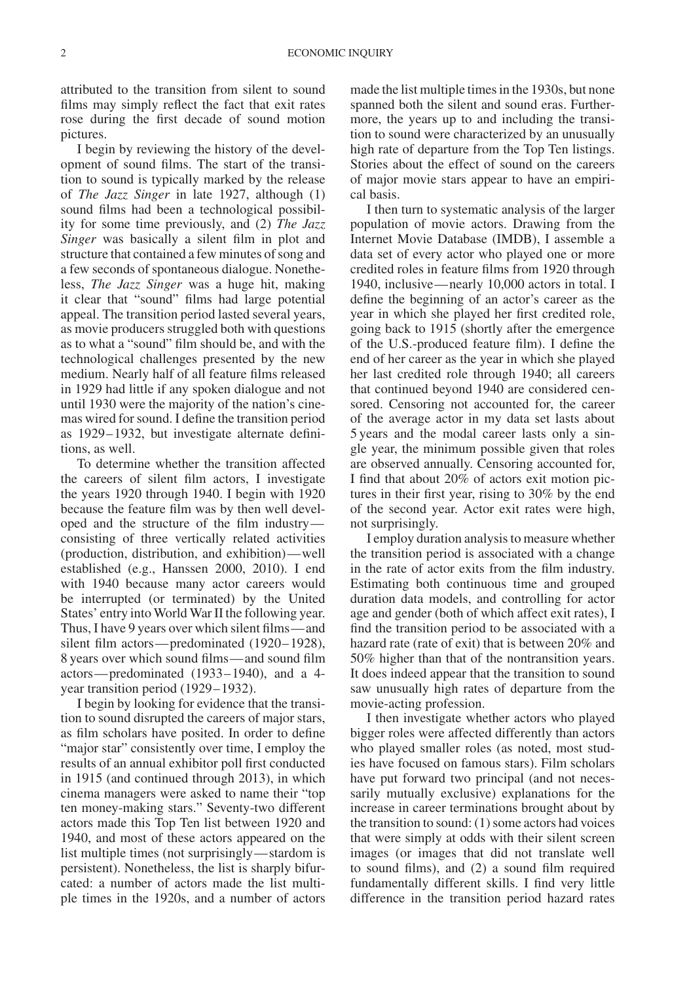attributed to the transition from silent to sound films may simply reflect the fact that exit rates rose during the first decade of sound motion pictures.

I begin by reviewing the history of the development of sound films. The start of the transition to sound is typically marked by the release of *The Jazz Singer* in late 1927, although (1) sound films had been a technological possibility for some time previously, and (2) *The Jazz Singer* was basically a silent film in plot and structure that contained a few minutes of song and a few seconds of spontaneous dialogue. Nonetheless, *The Jazz Singer* was a huge hit, making it clear that "sound" films had large potential appeal. The transition period lasted several years, as movie producers struggled both with questions as to what a "sound" film should be, and with the technological challenges presented by the new medium. Nearly half of all feature films released in 1929 had little if any spoken dialogue and not until 1930 were the majority of the nation's cinemas wired for sound. I define the transition period as 1929–1932, but investigate alternate definitions, as well.

To determine whether the transition affected the careers of silent film actors, I investigate the years 1920 through 1940. I begin with 1920 because the feature film was by then well developed and the structure of the film industry consisting of three vertically related activities (production, distribution, and exhibition)—well established (e.g., Hanssen 2000, 2010). I end with 1940 because many actor careers would be interrupted (or terminated) by the United States' entry into World War II the following year. Thus, I have 9 years over which silent films—and silent film actors—predominated (1920–1928), 8 years over which sound films—and sound film actors—predominated (1933–1940), and a 4 year transition period (1929–1932).

I begin by looking for evidence that the transition to sound disrupted the careers of major stars, as film scholars have posited. In order to define "major star" consistently over time, I employ the results of an annual exhibitor poll first conducted in 1915 (and continued through 2013), in which cinema managers were asked to name their "top ten money-making stars." Seventy-two different actors made this Top Ten list between 1920 and 1940, and most of these actors appeared on the list multiple times (not surprisingly—stardom is persistent). Nonetheless, the list is sharply bifurcated: a number of actors made the list multiple times in the 1920s, and a number of actors

made the list multiple times in the 1930s, but none spanned both the silent and sound eras. Furthermore, the years up to and including the transition to sound were characterized by an unusually high rate of departure from the Top Ten listings. Stories about the effect of sound on the careers of major movie stars appear to have an empirical basis.

I then turn to systematic analysis of the larger population of movie actors. Drawing from the Internet Movie Database (IMDB), I assemble a data set of every actor who played one or more credited roles in feature films from 1920 through 1940, inclusive—nearly 10,000 actors in total. I define the beginning of an actor's career as the year in which she played her first credited role, going back to 1915 (shortly after the emergence of the U.S.-produced feature film). I define the end of her career as the year in which she played her last credited role through 1940; all careers that continued beyond 1940 are considered censored. Censoring not accounted for, the career of the average actor in my data set lasts about 5 years and the modal career lasts only a single year, the minimum possible given that roles are observed annually. Censoring accounted for, I find that about 20% of actors exit motion pictures in their first year, rising to 30% by the end of the second year. Actor exit rates were high, not surprisingly.

I employ duration analysis to measure whether the transition period is associated with a change in the rate of actor exits from the film industry. Estimating both continuous time and grouped duration data models, and controlling for actor age and gender (both of which affect exit rates), I find the transition period to be associated with a hazard rate (rate of exit) that is between 20% and 50% higher than that of the nontransition years. It does indeed appear that the transition to sound saw unusually high rates of departure from the movie-acting profession.

I then investigate whether actors who played bigger roles were affected differently than actors who played smaller roles (as noted, most studies have focused on famous stars). Film scholars have put forward two principal (and not necessarily mutually exclusive) explanations for the increase in career terminations brought about by the transition to sound: (1) some actors had voices that were simply at odds with their silent screen images (or images that did not translate well to sound films), and (2) a sound film required fundamentally different skills. I find very little difference in the transition period hazard rates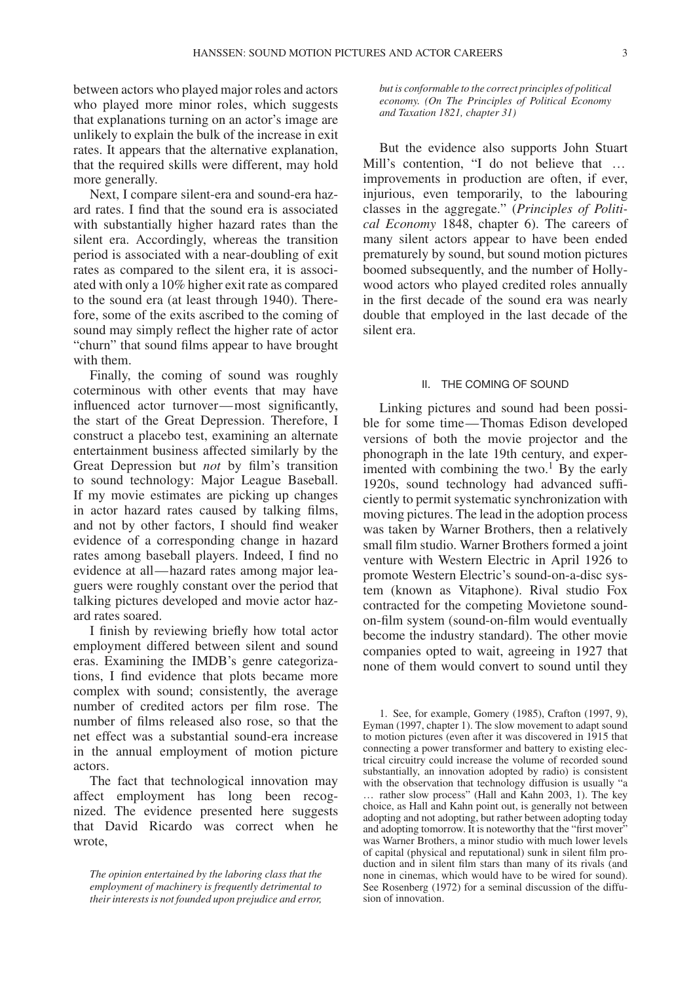between actors who played major roles and actors who played more minor roles, which suggests that explanations turning on an actor's image are unlikely to explain the bulk of the increase in exit rates. It appears that the alternative explanation, that the required skills were different, may hold more generally.

Next, I compare silent-era and sound-era hazard rates. I find that the sound era is associated with substantially higher hazard rates than the silent era. Accordingly, whereas the transition period is associated with a near-doubling of exit rates as compared to the silent era, it is associated with only a 10% higher exit rate as compared to the sound era (at least through 1940). Therefore, some of the exits ascribed to the coming of sound may simply reflect the higher rate of actor "churn" that sound films appear to have brought with them.

Finally, the coming of sound was roughly coterminous with other events that may have influenced actor turnover—most significantly, the start of the Great Depression. Therefore, I construct a placebo test, examining an alternate entertainment business affected similarly by the Great Depression but *not* by film's transition to sound technology: Major League Baseball. If my movie estimates are picking up changes in actor hazard rates caused by talking films, and not by other factors, I should find weaker evidence of a corresponding change in hazard rates among baseball players. Indeed, I find no evidence at all—hazard rates among major leaguers were roughly constant over the period that talking pictures developed and movie actor hazard rates soared.

I finish by reviewing briefly how total actor employment differed between silent and sound eras. Examining the IMDB's genre categorizations, I find evidence that plots became more complex with sound; consistently, the average number of credited actors per film rose. The number of films released also rose, so that the net effect was a substantial sound-era increase in the annual employment of motion picture actors.

The fact that technological innovation may affect employment has long been recognized. The evidence presented here suggests that David Ricardo was correct when he wrote,

*The opinion entertained by the laboring class that the employment of machinery is frequently detrimental to their interests is not founded upon prejudice and error,*

*but is conformable to the correct principles of political economy. (On The Principles of Political Economy and Taxation 1821, chapter 31)*

But the evidence also supports John Stuart Mill's contention, "I do not believe that … improvements in production are often, if ever, injurious, even temporarily, to the labouring classes in the aggregate." (*Principles of Political Economy* 1848, chapter 6). The careers of many silent actors appear to have been ended prematurely by sound, but sound motion pictures boomed subsequently, and the number of Hollywood actors who played credited roles annually in the first decade of the sound era was nearly double that employed in the last decade of the silent era.

#### II. THE COMING OF SOUND

Linking pictures and sound had been possible for some time—Thomas Edison developed versions of both the movie projector and the phonograph in the late 19th century, and experimented with combining the two.<sup>1</sup> By the early 1920s, sound technology had advanced sufficiently to permit systematic synchronization with moving pictures. The lead in the adoption process was taken by Warner Brothers, then a relatively small film studio. Warner Brothers formed a joint venture with Western Electric in April 1926 to promote Western Electric's sound-on-a-disc system (known as Vitaphone). Rival studio Fox contracted for the competing Movietone soundon-film system (sound-on-film would eventually become the industry standard). The other movie companies opted to wait, agreeing in 1927 that none of them would convert to sound until they

1. See, for example, Gomery (1985), Crafton (1997, 9), Eyman (1997, chapter 1). The slow movement to adapt sound to motion pictures (even after it was discovered in 1915 that connecting a power transformer and battery to existing electrical circuitry could increase the volume of recorded sound substantially, an innovation adopted by radio) is consistent with the observation that technology diffusion is usually "a … rather slow process" (Hall and Kahn 2003, 1). The key choice, as Hall and Kahn point out, is generally not between adopting and not adopting, but rather between adopting today and adopting tomorrow. It is noteworthy that the "first mover" was Warner Brothers, a minor studio with much lower levels of capital (physical and reputational) sunk in silent film production and in silent film stars than many of its rivals (and none in cinemas, which would have to be wired for sound). See Rosenberg (1972) for a seminal discussion of the diffusion of innovation.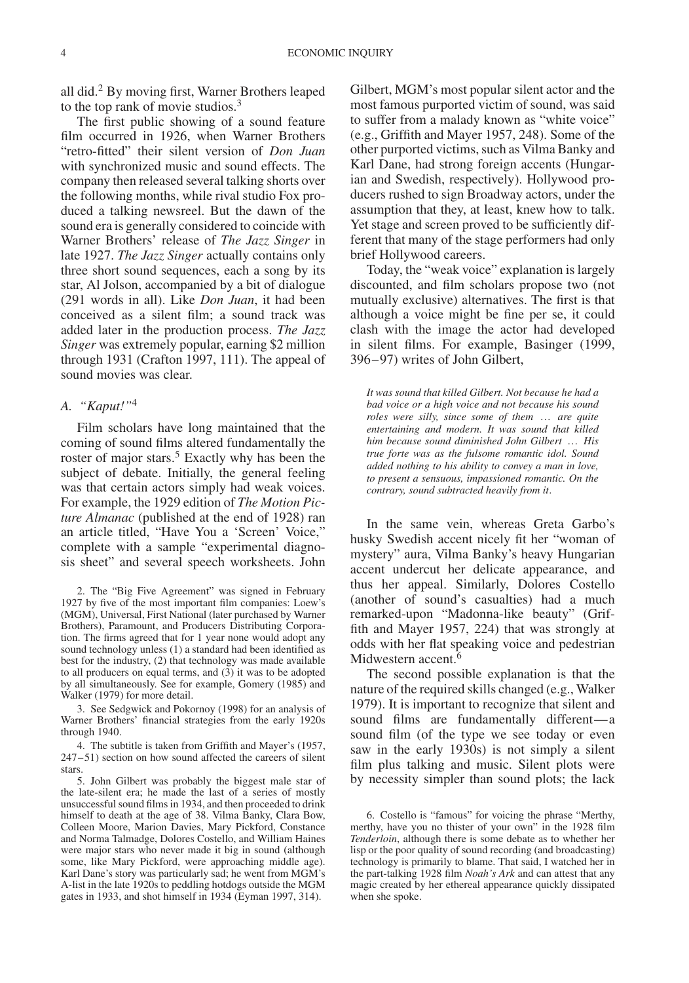all did.<sup>2</sup> By moving first, Warner Brothers leaped to the top rank of movie studios. $3$ 

The first public showing of a sound feature film occurred in 1926, when Warner Brothers "retro-fitted" their silent version of *Don Juan* with synchronized music and sound effects. The company then released several talking shorts over the following months, while rival studio Fox produced a talking newsreel. But the dawn of the sound era is generally considered to coincide with Warner Brothers' release of *The Jazz Singer* in late 1927. *The Jazz Singer* actually contains only three short sound sequences, each a song by its star, Al Jolson, accompanied by a bit of dialogue (291 words in all). Like *Don Juan*, it had been conceived as a silent film; a sound track was added later in the production process. *The Jazz Singer* was extremely popular, earning \$2 million through 1931 (Crafton 1997, 111). The appeal of sound movies was clear.

# *A. "Kaput!"*<sup>4</sup>

Film scholars have long maintained that the coming of sound films altered fundamentally the roster of major stars.<sup>5</sup> Exactly why has been the subject of debate. Initially, the general feeling was that certain actors simply had weak voices. For example, the 1929 edition of *The Motion Picture Almanac* (published at the end of 1928) ran an article titled, "Have You a 'Screen' Voice," complete with a sample "experimental diagnosis sheet" and several speech worksheets. John

2. The "Big Five Agreement" was signed in February 1927 by five of the most important film companies: Loew's (MGM), Universal, First National (later purchased by Warner Brothers), Paramount, and Producers Distributing Corporation. The firms agreed that for 1 year none would adopt any sound technology unless (1) a standard had been identified as best for the industry, (2) that technology was made available to all producers on equal terms, and  $(\overline{3})$  it was to be adopted by all simultaneously. See for example, Gomery (1985) and Walker (1979) for more detail.

3. See Sedgwick and Pokornoy (1998) for an analysis of Warner Brothers' financial strategies from the early 1920s through 1940.

4. The subtitle is taken from Griffith and Mayer's (1957, 247–51) section on how sound affected the careers of silent stars.

5. John Gilbert was probably the biggest male star of the late-silent era; he made the last of a series of mostly unsuccessful sound films in 1934, and then proceeded to drink himself to death at the age of 38. Vilma Banky, Clara Bow, Colleen Moore, Marion Davies, Mary Pickford, Constance and Norma Talmadge, Dolores Costello, and William Haines were major stars who never made it big in sound (although some, like Mary Pickford, were approaching middle age). Karl Dane's story was particularly sad; he went from MGM's A-list in the late 1920s to peddling hotdogs outside the MGM gates in 1933, and shot himself in 1934 (Eyman 1997, 314).

Gilbert, MGM's most popular silent actor and the most famous purported victim of sound, was said to suffer from a malady known as "white voice" (e.g., Griffith and Mayer 1957, 248). Some of the other purported victims, such as Vilma Banky and Karl Dane, had strong foreign accents (Hungarian and Swedish, respectively). Hollywood producers rushed to sign Broadway actors, under the assumption that they, at least, knew how to talk. Yet stage and screen proved to be sufficiently different that many of the stage performers had only brief Hollywood careers.

Today, the "weak voice" explanation is largely discounted, and film scholars propose two (not mutually exclusive) alternatives. The first is that although a voice might be fine per se, it could clash with the image the actor had developed in silent films. For example, Basinger (1999, 396–97) writes of John Gilbert,

*It was sound that killed Gilbert. Not because he had a bad voice or a high voice and not because his sound roles were silly, since some of them* … *are quite entertaining and modern. It was sound that killed him because sound diminished John Gilbert* … *His true forte was as the fulsome romantic idol. Sound added nothing to his ability to convey a man in love, to present a sensuous, impassioned romantic. On the contrary, sound subtracted heavily from it*.

In the same vein, whereas Greta Garbo's husky Swedish accent nicely fit her "woman of mystery" aura, Vilma Banky's heavy Hungarian accent undercut her delicate appearance, and thus her appeal. Similarly, Dolores Costello (another of sound's casualties) had a much remarked-upon "Madonna-like beauty" (Griffith and Mayer 1957, 224) that was strongly at odds with her flat speaking voice and pedestrian Midwestern accent.<sup>6</sup>

The second possible explanation is that the nature of the required skills changed (e.g., Walker 1979). It is important to recognize that silent and sound films are fundamentally different—a sound film (of the type we see today or even saw in the early 1930s) is not simply a silent film plus talking and music. Silent plots were by necessity simpler than sound plots; the lack

6. Costello is "famous" for voicing the phrase "Merthy, merthy, have you no thister of your own" in the 1928 film *Tenderloin*, although there is some debate as to whether her lisp or the poor quality of sound recording (and broadcasting) technology is primarily to blame. That said, I watched her in the part-talking 1928 film *Noah's Ark* and can attest that any magic created by her ethereal appearance quickly dissipated when she spoke.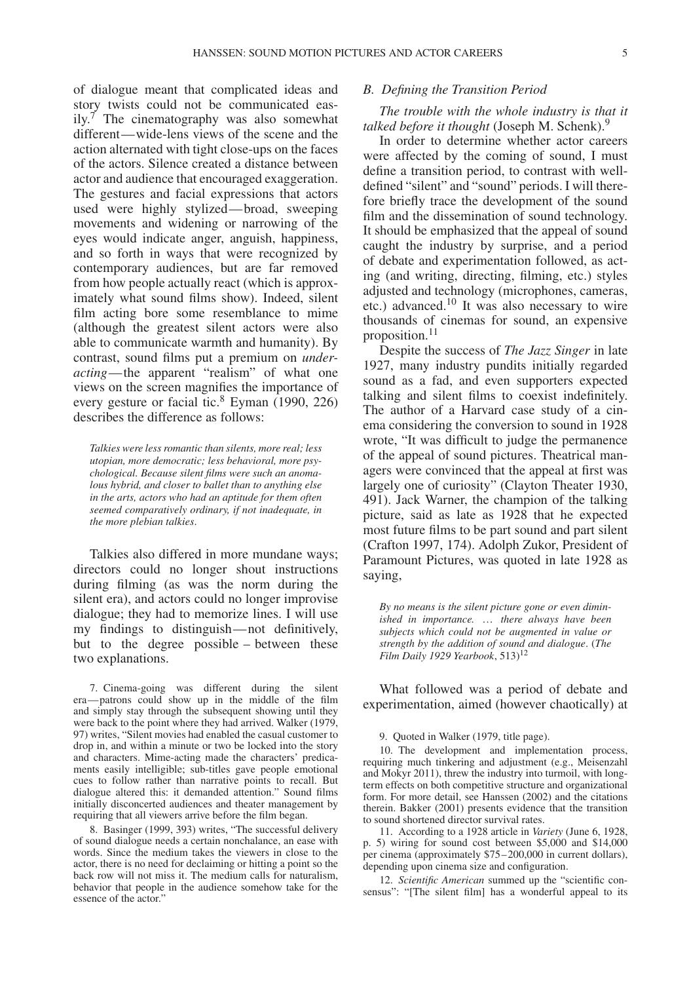of dialogue meant that complicated ideas and story twists could not be communicated eas $ily.<sup>7</sup>$  The cinematography was also somewhat different—wide-lens views of the scene and the action alternated with tight close-ups on the faces of the actors. Silence created a distance between actor and audience that encouraged exaggeration. The gestures and facial expressions that actors used were highly stylized—broad, sweeping movements and widening or narrowing of the eyes would indicate anger, anguish, happiness, and so forth in ways that were recognized by contemporary audiences, but are far removed from how people actually react (which is approximately what sound films show). Indeed, silent film acting bore some resemblance to mime (although the greatest silent actors were also able to communicate warmth and humanity). By contrast, sound films put a premium on *underacting*—the apparent "realism" of what one views on the screen magnifies the importance of every gesture or facial tic.<sup>8</sup> Eyman (1990, 226) describes the difference as follows:

*Talkies were less romantic than silents, more real; less utopian, more democratic; less behavioral, more psychological. Because silent films were such an anomalous hybrid, and closer to ballet than to anything else in the arts, actors who had an aptitude for them often seemed comparatively ordinary, if not inadequate, in the more plebian talkies*.

Talkies also differed in more mundane ways; directors could no longer shout instructions during filming (as was the norm during the silent era), and actors could no longer improvise dialogue; they had to memorize lines. I will use my findings to distinguish—not definitively, but to the degree possible – between these two explanations.

7. Cinema-going was different during the silent era—patrons could show up in the middle of the film and simply stay through the subsequent showing until they were back to the point where they had arrived. Walker (1979, 97) writes, "Silent movies had enabled the casual customer to drop in, and within a minute or two be locked into the story and characters. Mime-acting made the characters' predicaments easily intelligible; sub-titles gave people emotional cues to follow rather than narrative points to recall. But dialogue altered this: it demanded attention." Sound films initially disconcerted audiences and theater management by requiring that all viewers arrive before the film began.

8. Basinger (1999, 393) writes, "The successful delivery of sound dialogue needs a certain nonchalance, an ease with words. Since the medium takes the viewers in close to the actor, there is no need for declaiming or hitting a point so the back row will not miss it. The medium calls for naturalism, behavior that people in the audience somehow take for the essence of the actor.'

# *B. Defining the Transition Period*

*The trouble with the whole industry is that it talked before it thought* (Joseph M. Schenk).<sup>9</sup>

In order to determine whether actor careers were affected by the coming of sound, I must define a transition period, to contrast with welldefined "silent" and "sound" periods. I will therefore briefly trace the development of the sound film and the dissemination of sound technology. It should be emphasized that the appeal of sound caught the industry by surprise, and a period of debate and experimentation followed, as acting (and writing, directing, filming, etc.) styles adjusted and technology (microphones, cameras, etc.) advanced.<sup>10</sup> It was also necessary to wire thousands of cinemas for sound, an expensive proposition.<sup>11</sup>

Despite the success of *The Jazz Singer* in late 1927, many industry pundits initially regarded sound as a fad, and even supporters expected talking and silent films to coexist indefinitely. The author of a Harvard case study of a cinema considering the conversion to sound in 1928 wrote, "It was difficult to judge the permanence of the appeal of sound pictures. Theatrical managers were convinced that the appeal at first was largely one of curiosity" (Clayton Theater 1930, 491). Jack Warner, the champion of the talking picture, said as late as 1928 that he expected most future films to be part sound and part silent (Crafton 1997, 174). Adolph Zukor, President of Paramount Pictures, was quoted in late 1928 as saying,

*By no means is the silent picture gone or even diminished in importance.* … *there always have been subjects which could not be augmented in value or strength by the addition of sound and dialogue*. (*The Film Daily 1929 Yearbook*, 513)<sup>12</sup>

What followed was a period of debate and experimentation, aimed (however chaotically) at

#### 9. Quoted in Walker (1979, title page).

10. The development and implementation process, requiring much tinkering and adjustment (e.g., Meisenzahl and Mokyr 2011), threw the industry into turmoil, with longterm effects on both competitive structure and organizational form. For more detail, see Hanssen (2002) and the citations therein. Bakker (2001) presents evidence that the transition to sound shortened director survival rates.

11. According to a 1928 article in *Variety* (June 6, 1928, p. 5) wiring for sound cost between \$5,000 and \$14,000 per cinema (approximately \$75–200,000 in current dollars), depending upon cinema size and configuration.

12. *Scientific American* summed up the "scientific consensus": "[The silent film] has a wonderful appeal to its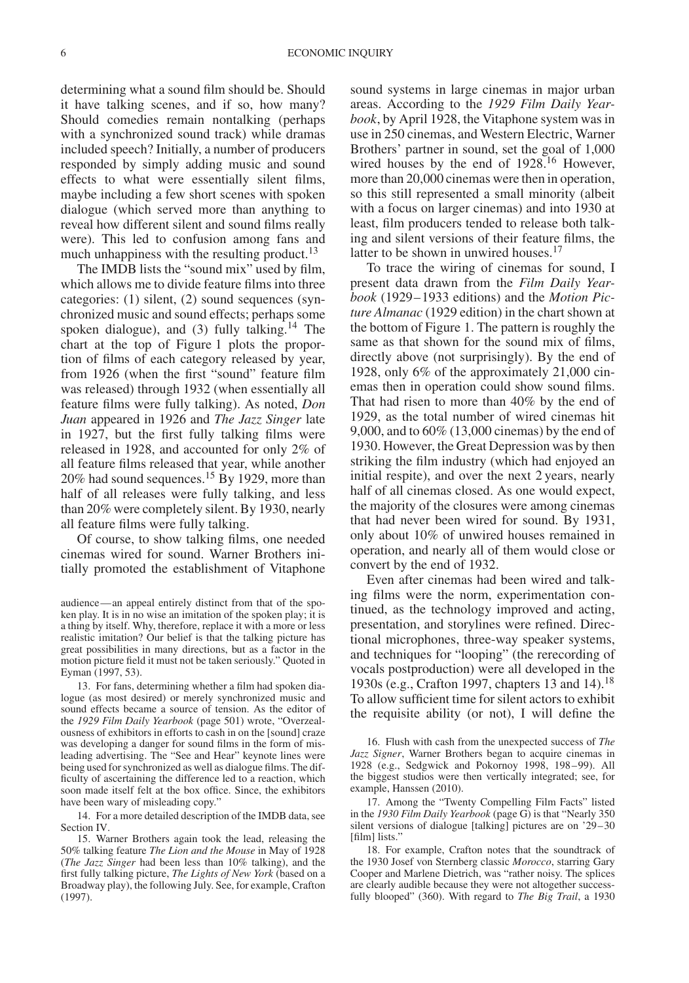determining what a sound film should be. Should it have talking scenes, and if so, how many? Should comedies remain nontalking (perhaps with a synchronized sound track) while dramas included speech? Initially, a number of producers responded by simply adding music and sound effects to what were essentially silent films, maybe including a few short scenes with spoken dialogue (which served more than anything to reveal how different silent and sound films really were). This led to confusion among fans and much unhappiness with the resulting product. $13$ 

The IMDB lists the "sound mix" used by film, which allows me to divide feature films into three categories: (1) silent, (2) sound sequences (synchronized music and sound effects; perhaps some spoken dialogue), and  $(3)$  fully talking.<sup>14</sup> The chart at the top of Figure 1 plots the proportion of films of each category released by year, from 1926 (when the first "sound" feature film was released) through 1932 (when essentially all feature films were fully talking). As noted, *Don Juan* appeared in 1926 and *The Jazz Singer* late in 1927, but the first fully talking films were released in 1928, and accounted for only 2% of all feature films released that year, while another 20% had sound sequences.<sup>15</sup> By 1929, more than half of all releases were fully talking, and less than 20% were completely silent. By 1930, nearly all feature films were fully talking.

Of course, to show talking films, one needed cinemas wired for sound. Warner Brothers initially promoted the establishment of Vitaphone

14. For a more detailed description of the IMDB data, see Section IV.

15. Warner Brothers again took the lead, releasing the 50% talking feature *The Lion and the Mouse* in May of 1928 (*The Jazz Singer* had been less than 10% talking), and the first fully talking picture, *The Lights of New York* (based on a Broadway play), the following July. See, for example, Crafton (1997).

sound systems in large cinemas in major urban areas. According to the *1929 Film Daily Yearbook*, by April 1928, the Vitaphone system was in use in 250 cinemas, and Western Electric, Warner Brothers' partner in sound, set the goal of 1,000 wired houses by the end of 1928.<sup>16</sup> However, more than 20,000 cinemas were then in operation, so this still represented a small minority (albeit with a focus on larger cinemas) and into 1930 at least, film producers tended to release both talking and silent versions of their feature films, the latter to be shown in unwired houses. $17$ 

To trace the wiring of cinemas for sound, I present data drawn from the *Film Daily Yearbook* (1929–1933 editions) and the *Motion Picture Almanac* (1929 edition) in the chart shown at the bottom of Figure 1. The pattern is roughly the same as that shown for the sound mix of films, directly above (not surprisingly). By the end of 1928, only 6% of the approximately 21,000 cinemas then in operation could show sound films. That had risen to more than 40% by the end of 1929, as the total number of wired cinemas hit 9,000, and to 60% (13,000 cinemas) by the end of 1930. However, the Great Depression was by then striking the film industry (which had enjoyed an initial respite), and over the next 2 years, nearly half of all cinemas closed. As one would expect, the majority of the closures were among cinemas that had never been wired for sound. By 1931, only about 10% of unwired houses remained in operation, and nearly all of them would close or convert by the end of 1932.

Even after cinemas had been wired and talking films were the norm, experimentation continued, as the technology improved and acting, presentation, and storylines were refined. Directional microphones, three-way speaker systems, and techniques for "looping" (the rerecording of vocals postproduction) were all developed in the 1930s (e.g., Crafton 1997, chapters 13 and 14).<sup>18</sup> To allow sufficient time for silent actors to exhibit the requisite ability (or not), I will define the

16. Flush with cash from the unexpected success of *The Jazz Signer*, Warner Brothers began to acquire cinemas in 1928 (e.g., Sedgwick and Pokornoy 1998, 198–99). All the biggest studios were then vertically integrated; see, for example, Hanssen (2010).

17. Among the "Twenty Compelling Film Facts" listed in the *1930 Film Daily Yearbook* (page G) is that "Nearly 350 silent versions of dialogue [talking] pictures are on '29–30 [film] lists."

18. For example, Crafton notes that the soundtrack of the 1930 Josef von Sternberg classic *Morocco*, starring Gary Cooper and Marlene Dietrich, was "rather noisy. The splices are clearly audible because they were not altogether successfully blooped" (360). With regard to *The Big Trail*, a 1930

audience—an appeal entirely distinct from that of the spoken play. It is in no wise an imitation of the spoken play; it is a thing by itself. Why, therefore, replace it with a more or less realistic imitation? Our belief is that the talking picture has great possibilities in many directions, but as a factor in the motion picture field it must not be taken seriously." Quoted in Eyman (1997, 53).

<sup>13.</sup> For fans, determining whether a film had spoken dialogue (as most desired) or merely synchronized music and sound effects became a source of tension. As the editor of the *1929 Film Daily Yearbook* (page 501) wrote, "Overzealousness of exhibitors in efforts to cash in on the [sound] craze was developing a danger for sound films in the form of misleading advertising. The "See and Hear" keynote lines were being used for synchronized as well as dialogue films. The difficulty of ascertaining the difference led to a reaction, which soon made itself felt at the box office. Since, the exhibitors have been wary of misleading copy."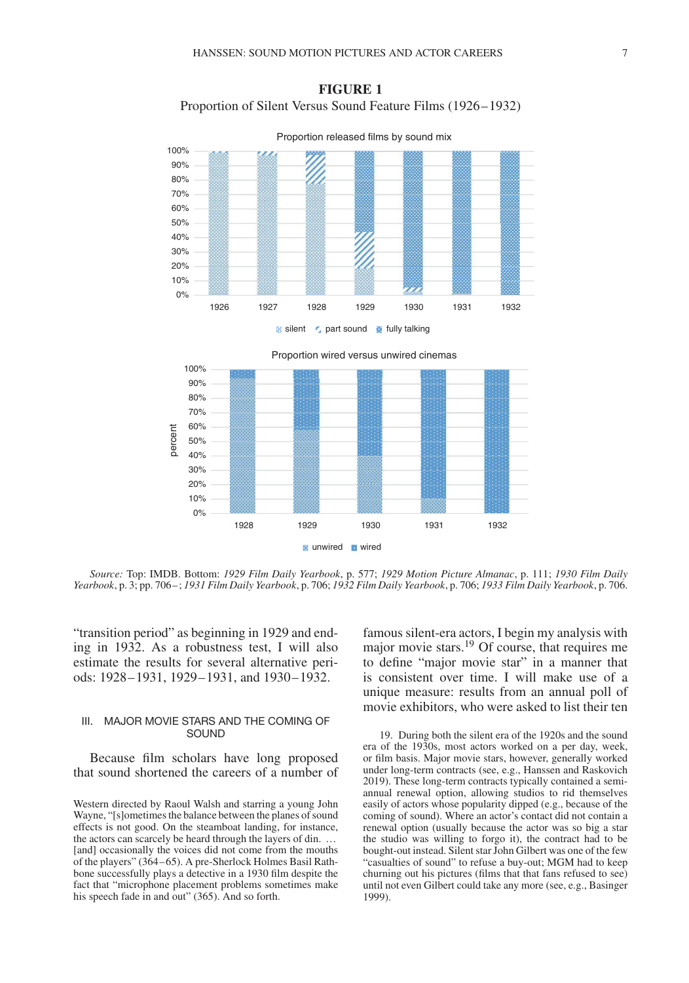

**FIGURE 1** Proportion of Silent Versus Sound Feature Films (1926–1932)

*Source:* Top: IMDB. Bottom: *1929 Film Daily Yearbook*, p. 577; *1929 Motion Picture Almanac*, p. 111; *1930 Film Daily Yearbook*, p. 3; pp. 706–; *1931 Film Daily Yearbook*, p. 706; *1932 Film Daily Yearbook*, p. 706; *1933 Film Daily Yearbook*, p. 706.

"transition period" as beginning in 1929 and ending in 1932. As a robustness test, I will also estimate the results for several alternative periods: 1928–1931, 1929–1931, and 1930–1932.

# III. MAJOR MOVIE STARS AND THE COMING OF **SOUND**

Because film scholars have long proposed that sound shortened the careers of a number of famous silent-era actors, I begin my analysis with major movie stars.<sup>19</sup> Of course, that requires me to define "major movie star" in a manner that is consistent over time. I will make use of a unique measure: results from an annual poll of movie exhibitors, who were asked to list their ten

19. During both the silent era of the 1920s and the sound era of the 1930s, most actors worked on a per day, week, or film basis. Major movie stars, however, generally worked under long-term contracts (see, e.g., Hanssen and Raskovich 2019). These long-term contracts typically contained a semiannual renewal option, allowing studios to rid themselves easily of actors whose popularity dipped (e.g., because of the coming of sound). Where an actor's contact did not contain a renewal option (usually because the actor was so big a star the studio was willing to forgo it), the contract had to be bought-out instead. Silent star John Gilbert was one of the few "casualties of sound" to refuse a buy-out; MGM had to keep churning out his pictures (films that that fans refused to see) until not even Gilbert could take any more (see, e.g., Basinger 1999).

Western directed by Raoul Walsh and starring a young John Wayne, "[s]ometimes the balance between the planes of sound effects is not good. On the steamboat landing, for instance, the actors can scarcely be heard through the layers of din. … [and] occasionally the voices did not come from the mouths of the players" (364–65). A pre-Sherlock Holmes Basil Rathbone successfully plays a detective in a 1930 film despite the fact that "microphone placement problems sometimes make his speech fade in and out" (365). And so forth.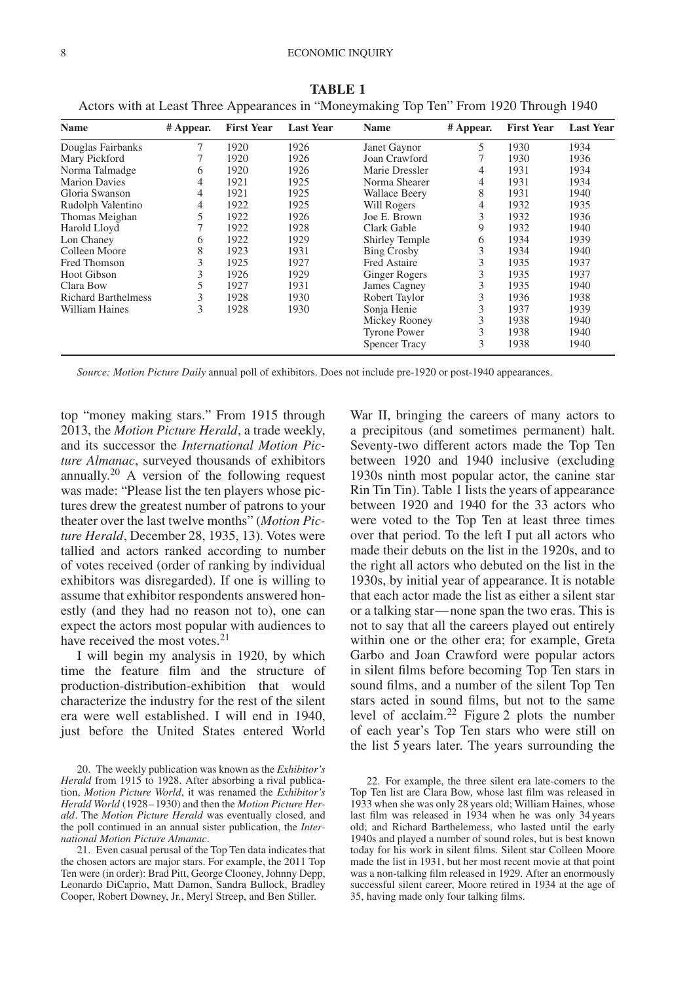| ٠<br>u. |  |
|---------|--|
|         |  |

| <b>Name</b>                | # Appear. | <b>First Year</b> | <b>Last Year</b> | <b>Name</b>          | # Appear. | <b>First Year</b> | <b>Last Year</b> |
|----------------------------|-----------|-------------------|------------------|----------------------|-----------|-------------------|------------------|
| Douglas Fairbanks          | 7         | 1920              | 1926             | Janet Gaynor         | 5         | 1930              | 1934             |
| Mary Pickford              |           | 1920              | 1926             | Joan Crawford        |           | 1930              | 1936             |
| Norma Talmadge             | 6         | 1920              | 1926             | Marie Dressler       | 4         | 1931              | 1934             |
| <b>Marion Davies</b>       | 4         | 1921              | 1925             | Norma Shearer        | 4         | 1931              | 1934             |
| Gloria Swanson             | 4         | 1921              | 1925             | <b>Wallace Beery</b> | 8         | 1931              | 1940             |
| Rudolph Valentino          | 4         | 1922              | 1925             | Will Rogers          | 4         | 1932              | 1935             |
| Thomas Meighan             | 5         | 1922              | 1926             | Joe E. Brown         | 3         | 1932              | 1936             |
| Harold Lloyd               |           | 1922              | 1928             | Clark Gable          | 9         | 1932              | 1940             |
| Lon Chaney                 | 6         | 1922              | 1929             | Shirley Temple       | 6         | 1934              | 1939             |
| Colleen Moore              | 8         | 1923              | 1931             | <b>Bing Crosby</b>   | 3         | 1934              | 1940             |
| Fred Thomson               | 3         | 1925              | 1927             | <b>Fred Astaire</b>  | 3         | 1935              | 1937             |
| <b>Hoot Gibson</b>         | 3         | 1926              | 1929             | <b>Ginger Rogers</b> | 3         | 1935              | 1937             |
| Clara Bow                  | 5         | 1927              | 1931             | James Cagney         | 3         | 1935              | 1940             |
| <b>Richard Barthelmess</b> | 3         | 1928              | 1930             | Robert Taylor        | 3         | 1936              | 1938             |
| William Haines             | 3         | 1928              | 1930             | Sonja Henie          | 3         | 1937              | 1939             |
|                            |           |                   |                  | Mickey Rooney        | 3         | 1938              | 1940             |
|                            |           |                   |                  | <b>Tyrone Power</b>  | 3         | 1938              | 1940             |
|                            |           |                   |                  | <b>Spencer Tracy</b> | 3         | 1938              | 1940             |

**TABLE 1** Actors with at Least Three Appearances in "Moneymaking Top Ten" From 1920 Through 1940

*Source: Motion Picture Daily* annual poll of exhibitors. Does not include pre-1920 or post-1940 appearances.

top "money making stars." From 1915 through 2013, the *Motion Picture Herald*, a trade weekly, and its successor the *International Motion Picture Almanac*, surveyed thousands of exhibitors annually.<sup>20</sup> A version of the following request was made: "Please list the ten players whose pictures drew the greatest number of patrons to your theater over the last twelve months" (*Motion Picture Herald*, December 28, 1935, 13). Votes were tallied and actors ranked according to number of votes received (order of ranking by individual exhibitors was disregarded). If one is willing to assume that exhibitor respondents answered honestly (and they had no reason not to), one can expect the actors most popular with audiences to have received the most votes.<sup>21</sup>

I will begin my analysis in 1920, by which time the feature film and the structure of production-distribution-exhibition that would characterize the industry for the rest of the silent era were well established. I will end in 1940, just before the United States entered World

War II, bringing the careers of many actors to a precipitous (and sometimes permanent) halt. Seventy-two different actors made the Top Ten between 1920 and 1940 inclusive (excluding 1930s ninth most popular actor, the canine star Rin Tin Tin). Table 1 lists the years of appearance between 1920 and 1940 for the 33 actors who were voted to the Top Ten at least three times over that period. To the left I put all actors who made their debuts on the list in the 1920s, and to the right all actors who debuted on the list in the 1930s, by initial year of appearance. It is notable that each actor made the list as either a silent star or a talking star—none span the two eras. This is not to say that all the careers played out entirely within one or the other era; for example, Greta Garbo and Joan Crawford were popular actors in silent films before becoming Top Ten stars in sound films, and a number of the silent Top Ten stars acted in sound films, but not to the same level of acclaim.<sup>22</sup> Figure 2 plots the number of each year's Top Ten stars who were still on the list 5 years later. The years surrounding the

<sup>20.</sup> The weekly publication was known as the *Exhibitor's Herald* from 1915 to 1928. After absorbing a rival publication, *Motion Picture World*, it was renamed the *Exhibitor's Herald World* (1928–1930) and then the *Motion Picture Herald*. The *Motion Picture Herald* was eventually closed, and the poll continued in an annual sister publication, the *International Motion Picture Almanac*.

<sup>21.</sup> Even casual perusal of the Top Ten data indicates that the chosen actors are major stars. For example, the 2011 Top Ten were (in order): Brad Pitt, George Clooney, Johnny Depp, Leonardo DiCaprio, Matt Damon, Sandra Bullock, Bradley Cooper, Robert Downey, Jr., Meryl Streep, and Ben Stiller.

<sup>22.</sup> For example, the three silent era late-comers to the Top Ten list are Clara Bow, whose last film was released in 1933 when she was only 28 years old; William Haines, whose last film was released in 1934 when he was only 34 years old; and Richard Barthelemess, who lasted until the early 1940s and played a number of sound roles, but is best known today for his work in silent films. Silent star Colleen Moore made the list in 1931, but her most recent movie at that point was a non-talking film released in 1929. After an enormously successful silent career, Moore retired in 1934 at the age of 35, having made only four talking films.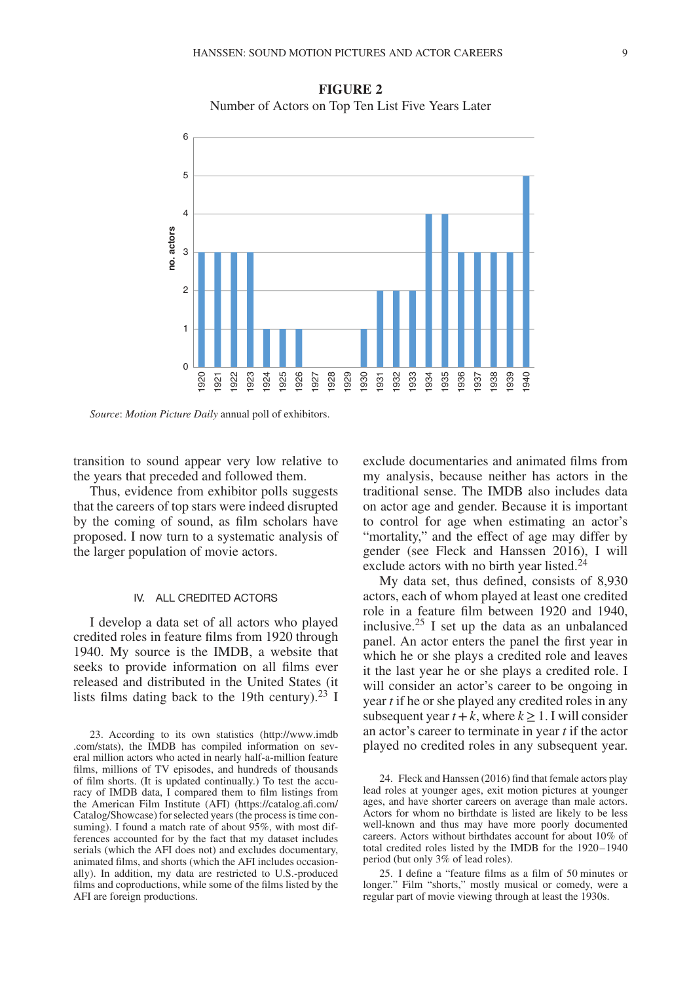**FIGURE 2** Number of Actors on Top Ten List Five Years Later



*Source*: *Motion Picture Daily* annual poll of exhibitors.

transition to sound appear very low relative to the years that preceded and followed them.

Thus, evidence from exhibitor polls suggests that the careers of top stars were indeed disrupted by the coming of sound, as film scholars have proposed. I now turn to a systematic analysis of the larger population of movie actors.

#### IV. ALL CREDITED ACTORS

I develop a data set of all actors who played credited roles in feature films from 1920 through 1940. My source is the IMDB, a website that seeks to provide information on all films ever released and distributed in the United States (it lists films dating back to the 19th century).<sup>23</sup> I exclude documentaries and animated films from my analysis, because neither has actors in the traditional sense. The IMDB also includes data on actor age and gender. Because it is important to control for age when estimating an actor's "mortality," and the effect of age may differ by gender (see Fleck and Hanssen 2016), I will exclude actors with no birth year listed. $24$ 

My data set, thus defined, consists of 8,930 actors, each of whom played at least one credited role in a feature film between 1920 and 1940, inclusive.<sup>25</sup> I set up the data as an unbalanced panel. An actor enters the panel the first year in which he or she plays a credited role and leaves it the last year he or she plays a credited role. I will consider an actor's career to be ongoing in year *t* if he or she played any credited roles in any subsequent year  $t + k$ , where  $k \ge 1$ . I will consider an actor's career to terminate in year *t* if the actor played no credited roles in any subsequent year.

<sup>23.</sup> According to its own statistics (http://www.imdb .com/stats), the IMDB has compiled information on several million actors who acted in nearly half-a-million feature films, millions of TV episodes, and hundreds of thousands of film shorts. (It is updated continually.) To test the accuracy of IMDB data, I compared them to film listings from the American Film Institute (AFI) (https://catalog.afi.com/ Catalog/Showcase) for selected years (the process is time consuming). I found a match rate of about 95%, with most differences accounted for by the fact that my dataset includes serials (which the AFI does not) and excludes documentary, animated films, and shorts (which the AFI includes occasionally). In addition, my data are restricted to U.S.-produced films and coproductions, while some of the films listed by the AFI are foreign productions.

<sup>24.</sup> Fleck and Hanssen (2016) find that female actors play lead roles at younger ages, exit motion pictures at younger ages, and have shorter careers on average than male actors. Actors for whom no birthdate is listed are likely to be less well-known and thus may have more poorly documented careers. Actors without birthdates account for about 10% of total credited roles listed by the IMDB for the 1920–1940 period (but only 3% of lead roles).

<sup>25.</sup> I define a "feature films as a film of 50 minutes or longer." Film "shorts," mostly musical or comedy, were a regular part of movie viewing through at least the 1930s.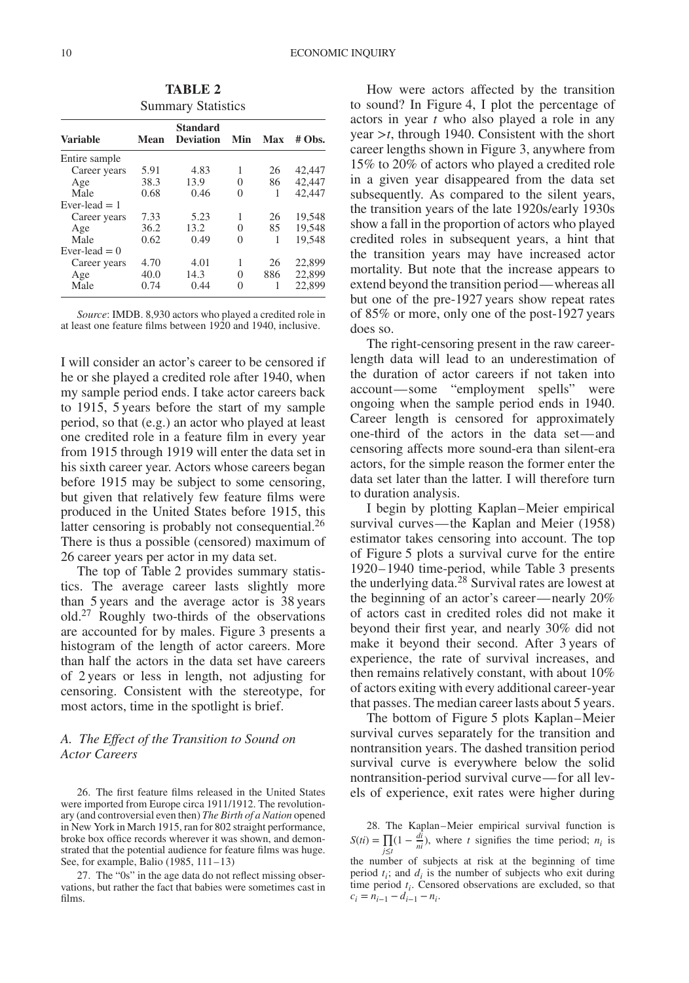| <b>Variable</b> | Mean | <b>Standard</b><br><b>Deviation</b> | Min | Max | # Obs. |  |  |
|-----------------|------|-------------------------------------|-----|-----|--------|--|--|
| Entire sample   |      |                                     |     |     |        |  |  |
| Career years    | 5.91 | 4.83                                | 1   | 26  | 42,447 |  |  |
| Age             | 38.3 | 13.9                                | 0   | 86  | 42,447 |  |  |
| Male            | 0.68 | 0.46                                | 0   | 1   | 42,447 |  |  |
| Ever-lead $= 1$ |      |                                     |     |     |        |  |  |
| Career years    | 7.33 | 5.23                                | 1   | 26  | 19.548 |  |  |
| Age             | 36.2 | 13.2                                | 0   | 85  | 19.548 |  |  |
| Male            | 0.62 | 0.49                                | 0   | 1   | 19.548 |  |  |
| Ever-lead $= 0$ |      |                                     |     |     |        |  |  |
| Career years    | 4.70 | 4.01                                | 1   | 26  | 22.899 |  |  |
| Age             | 40.0 | 14.3                                | 0   | 886 | 22,899 |  |  |
| Male            | 0.74 | 0.44                                | 0   | 1   | 22,899 |  |  |

**TABLE 2** Summary Statistics

*Source*: IMDB. 8,930 actors who played a credited role in at least one feature films between 1920 and 1940, inclusive.

I will consider an actor's career to be censored if he or she played a credited role after 1940, when my sample period ends. I take actor careers back to 1915, 5 years before the start of my sample period, so that (e.g.) an actor who played at least one credited role in a feature film in every year from 1915 through 1919 will enter the data set in his sixth career year. Actors whose careers began before 1915 may be subject to some censoring, but given that relatively few feature films were produced in the United States before 1915, this latter censoring is probably not consequential. $^{26}$ There is thus a possible (censored) maximum of 26 career years per actor in my data set.

The top of Table 2 provides summary statistics. The average career lasts slightly more than 5 years and the average actor is 38 years old.<sup>27</sup> Roughly two-thirds of the observations are accounted for by males. Figure 3 presents a histogram of the length of actor careers. More than half the actors in the data set have careers of 2 years or less in length, not adjusting for censoring. Consistent with the stereotype, for most actors, time in the spotlight is brief.

# *A. The Effect of the Transition to Sound on Actor Careers*

26. The first feature films released in the United States were imported from Europe circa 1911/1912. The revolutionary (and controversial even then) *The Birth of a Nation* opened in New York in March 1915, ran for 802 straight performance, broke box office records wherever it was shown, and demonstrated that the potential audience for feature films was huge. See, for example, Balio (1985, 111–13)

27. The "0s" in the age data do not reflect missing observations, but rather the fact that babies were sometimes cast in films.

How were actors affected by the transition to sound? In Figure 4, I plot the percentage of actors in year *t* who also played a role in any year *>t*, through 1940. Consistent with the short career lengths shown in Figure 3, anywhere from 15% to 20% of actors who played a credited role in a given year disappeared from the data set subsequently. As compared to the silent years, the transition years of the late 1920s/early 1930s show a fall in the proportion of actors who played credited roles in subsequent years, a hint that the transition years may have increased actor mortality. But note that the increase appears to extend beyond the transition period—whereas all but one of the pre-1927 years show repeat rates of 85% or more, only one of the post-1927 years does so.

The right-censoring present in the raw careerlength data will lead to an underestimation of the duration of actor careers if not taken into account—some "employment spells" were ongoing when the sample period ends in 1940. Career length is censored for approximately one-third of the actors in the data set—and censoring affects more sound-era than silent-era actors, for the simple reason the former enter the data set later than the latter. I will therefore turn to duration analysis.

I begin by plotting Kaplan–Meier empirical survival curves—the Kaplan and Meier (1958) estimator takes censoring into account. The top of Figure 5 plots a survival curve for the entire 1920–1940 time-period, while Table 3 presents the underlying data.<sup>28</sup> Survival rates are lowest at the beginning of an actor's career—nearly 20% of actors cast in credited roles did not make it beyond their first year, and nearly 30% did not make it beyond their second. After 3 years of experience, the rate of survival increases, and then remains relatively constant, with about 10% of actors exiting with every additional career-year that passes. The median career lasts about 5 years.

The bottom of Figure 5 plots Kaplan–Meier survival curves separately for the transition and nontransition years. The dashed transition period survival curve is everywhere below the solid nontransition-period survival curve— for all levels of experience, exit rates were higher during

<sup>28.</sup> The Kaplan–Meier empirical survival function is  $S(ti) = \prod_{j \le t} (1 - \frac{di}{ni})$ , where *t* signifies the time period; *n<sub>i</sub>* is the number of subjects at risk at the beginning of time period  $t_i$ ; and  $d_i$  is the number of subjects who exit during time period  $t_i$ . Censored observations are excluded, so that  $c_i = n_{i-1} - d_{i-1} - n_i$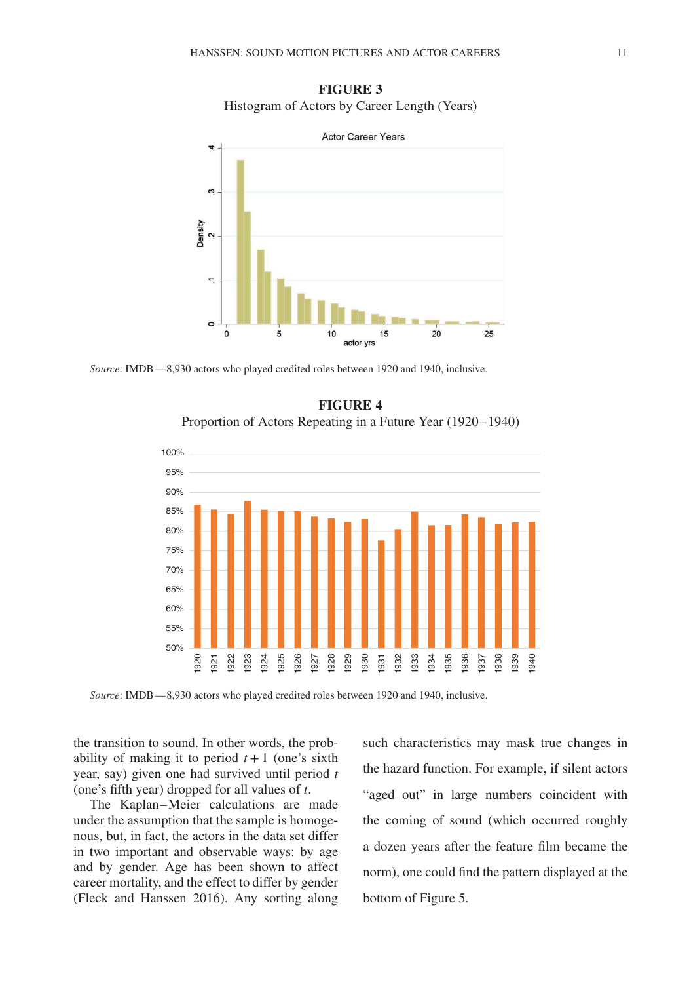



*Source*: IMDB—8,930 actors who played credited roles between 1920 and 1940, inclusive.

**FIGURE 4** Proportion of Actors Repeating in a Future Year (1920–1940)



*Source*: IMDB—8,930 actors who played credited roles between 1920 and 1940, inclusive.

the transition to sound. In other words, the probability of making it to period  $t+1$  (one's sixth year, say) given one had survived until period *t* (one's fifth year) dropped for all values of *t*.

The Kaplan–Meier calculations are made under the assumption that the sample is homogenous, but, in fact, the actors in the data set differ in two important and observable ways: by age and by gender. Age has been shown to affect career mortality, and the effect to differ by gender (Fleck and Hanssen 2016). Any sorting along such characteristics may mask true changes in the hazard function. For example, if silent actors "aged out" in large numbers coincident with the coming of sound (which occurred roughly a dozen years after the feature film became the norm), one could find the pattern displayed at the bottom of Figure 5.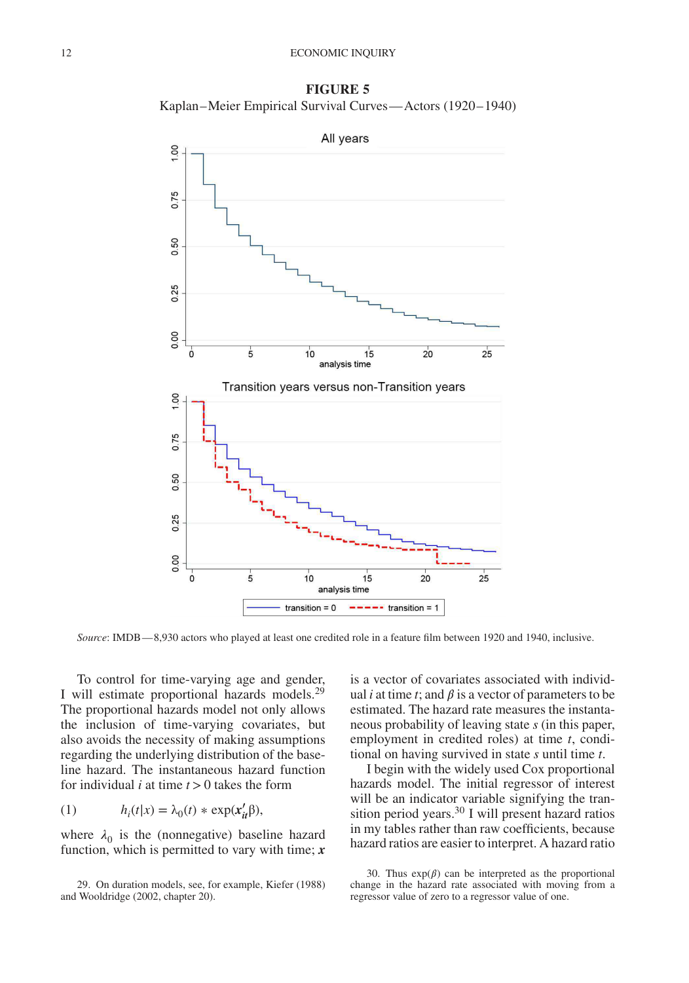**FIGURE 5** Kaplan–Meier Empirical Survival Curves—Actors (1920–1940)



*Source*: IMDB—8,930 actors who played at least one credited role in a feature film between 1920 and 1940, inclusive.

To control for time-varying age and gender, I will estimate proportional hazards models.<sup>29</sup> The proportional hazards model not only allows the inclusion of time-varying covariates, but also avoids the necessity of making assumptions regarding the underlying distribution of the baseline hazard. The instantaneous hazard function for individual *i* at time  $t > 0$  takes the form

(1) 
$$
h_i(t|x) = \lambda_0(t) * \exp(x_{it}'\beta),
$$

where  $\lambda_0$  is the (nonnegative) baseline hazard function, which is permitted to vary with time; *x* is a vector of covariates associated with individual *i* at time *t*; and  $\beta$  is a vector of parameters to be estimated. The hazard rate measures the instantaneous probability of leaving state *s* (in this paper, employment in credited roles) at time *t*, conditional on having survived in state *s* until time *t*.

I begin with the widely used Cox proportional hazards model. The initial regressor of interest will be an indicator variable signifying the transition period years.<sup>30</sup> I will present hazard ratios in my tables rather than raw coefficients, because hazard ratios are easier to interpret. A hazard ratio

<sup>29.</sup> On duration models, see, for example, Kiefer (1988) and Wooldridge (2002, chapter 20).

<sup>30.</sup> Thus  $exp(\beta)$  can be interpreted as the proportional change in the hazard rate associated with moving from a regressor value of zero to a regressor value of one.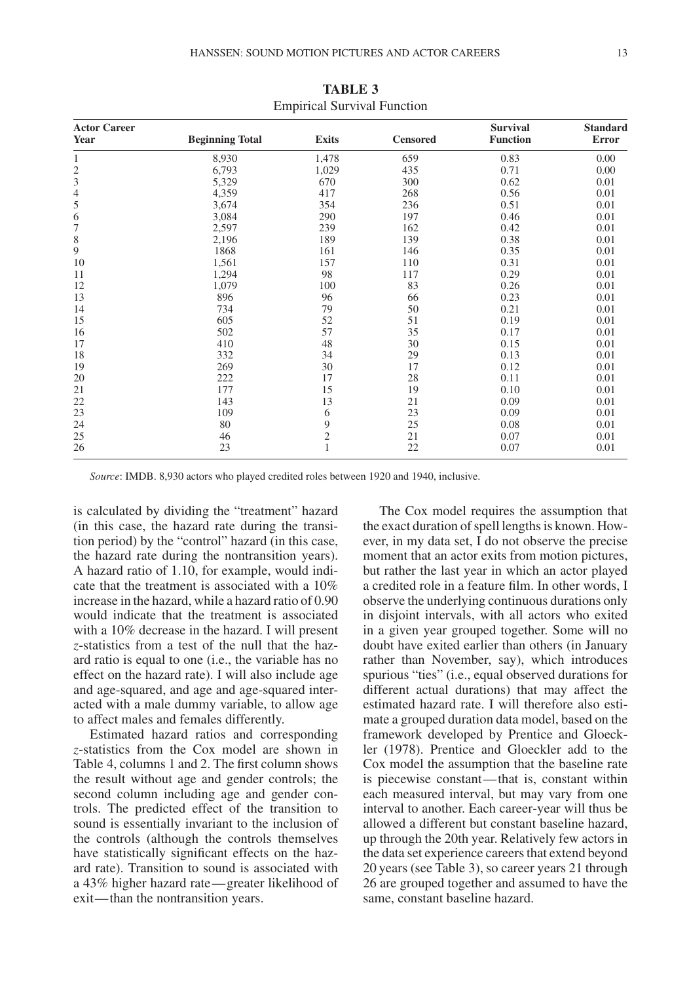| <b>Actor Career</b><br>Year | <b>Beginning Total</b> | <b>Exits</b>  | <b>Censored</b> | <b>Survival</b><br><b>Function</b> | <b>Standard</b><br>Error |
|-----------------------------|------------------------|---------------|-----------------|------------------------------------|--------------------------|
| 1                           | 8,930                  | 1,478         | 659             | 0.83                               | 0.00                     |
|                             | 6,793                  | 1,029         | 435             | 0.71                               | 0.00                     |
| $\frac{2}{3}$               | 5,329                  | 670           | 300             | 0.62                               | 0.01                     |
| $\overline{4}$              | 4,359                  | 417           | 268             | 0.56                               | 0.01                     |
| 5                           | 3,674                  | 354           | 236             | 0.51                               | 0.01                     |
| 6                           | 3,084                  | 290           | 197             | 0.46                               | 0.01                     |
| 7                           | 2,597                  | 239           | 162             | 0.42                               | 0.01                     |
| 8                           | 2,196                  | 189           | 139             | 0.38                               | 0.01                     |
| 9                           | 1868                   | 161           | 146             | 0.35                               | 0.01                     |
| 10                          | 1,561                  | 157           | 110             | 0.31                               | 0.01                     |
| 11                          | 1,294                  | 98            | 117             | 0.29                               | 0.01                     |
| 12                          | 1,079                  | 100           | 83              | 0.26                               | 0.01                     |
| 13                          | 896                    | 96            | 66              | 0.23                               | 0.01                     |
| 14                          | 734                    | 79            | 50              | 0.21                               | 0.01                     |
| 15                          | 605                    | 52            | 51              | 0.19                               | 0.01                     |
| 16                          | 502                    | 57            | 35              | 0.17                               | 0.01                     |
| 17                          | 410                    | 48            | 30              | 0.15                               | 0.01                     |
| 18                          | 332                    | 34            | 29              | 0.13                               | 0.01                     |
| 19                          | 269                    | 30            | 17              | 0.12                               | 0.01                     |
| 20                          | 222                    | 17            | 28              | 0.11                               | 0.01                     |
| 21                          | 177                    | 15            | 19              | 0.10                               | 0.01                     |
| 22                          | 143                    | 13            | 21              | 0.09                               | 0.01                     |
| 23                          | 109                    | 6             | 23              | 0.09                               | 0.01                     |
| 24                          | 80                     |               | 25              | 0.08                               | 0.01                     |
| 25                          | 46                     | $\frac{9}{2}$ | 21              | 0.07                               | 0.01                     |
| 26                          | 23                     | $\mathbf{1}$  | 22              | 0.07                               | 0.01                     |

**TABLE 3** Empirical Survival Function

*Source*: IMDB. 8,930 actors who played credited roles between 1920 and 1940, inclusive.

is calculated by dividing the "treatment" hazard (in this case, the hazard rate during the transition period) by the "control" hazard (in this case, the hazard rate during the nontransition years). A hazard ratio of 1.10, for example, would indicate that the treatment is associated with a 10% increase in the hazard, while a hazard ratio of 0.90 would indicate that the treatment is associated with a 10% decrease in the hazard. I will present *z*-statistics from a test of the null that the hazard ratio is equal to one (i.e., the variable has no effect on the hazard rate). I will also include age and age-squared, and age and age-squared interacted with a male dummy variable, to allow age to affect males and females differently.

Estimated hazard ratios and corresponding *z*-statistics from the Cox model are shown in Table 4, columns 1 and 2. The first column shows the result without age and gender controls; the second column including age and gender controls. The predicted effect of the transition to sound is essentially invariant to the inclusion of the controls (although the controls themselves have statistically significant effects on the hazard rate). Transition to sound is associated with a 43% higher hazard rate—greater likelihood of exit—than the nontransition years.

The Cox model requires the assumption that the exact duration of spell lengths is known. However, in my data set, I do not observe the precise moment that an actor exits from motion pictures, but rather the last year in which an actor played a credited role in a feature film. In other words, I observe the underlying continuous durations only in disjoint intervals, with all actors who exited in a given year grouped together. Some will no doubt have exited earlier than others (in January rather than November, say), which introduces spurious "ties" (i.e., equal observed durations for different actual durations) that may affect the estimated hazard rate. I will therefore also estimate a grouped duration data model, based on the framework developed by Prentice and Gloeckler (1978). Prentice and Gloeckler add to the Cox model the assumption that the baseline rate is piecewise constant—that is, constant within each measured interval, but may vary from one interval to another. Each career-year will thus be allowed a different but constant baseline hazard, up through the 20th year. Relatively few actors in the data set experience careers that extend beyond 20 years (see Table 3), so career years 21 through 26 are grouped together and assumed to have the same, constant baseline hazard.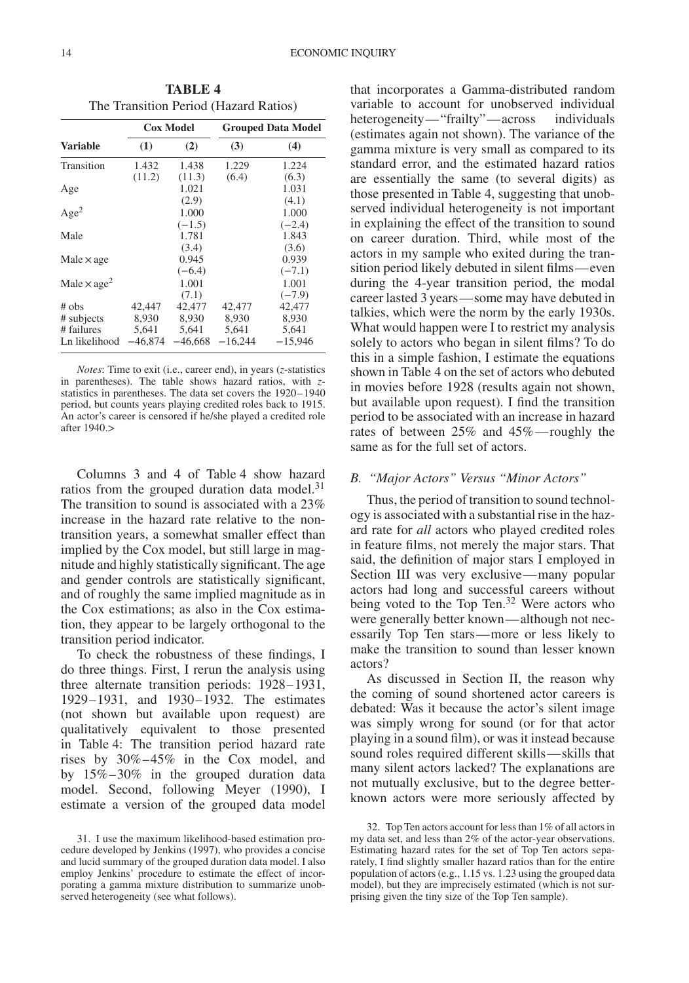**TABLE 4** The Transition Period (Hazard Ratios)

|                                                      |                                       | <b>Cox Model</b>                      | <b>Grouped Data Model</b>             |                                       |
|------------------------------------------------------|---------------------------------------|---------------------------------------|---------------------------------------|---------------------------------------|
| <b>Variable</b>                                      | (1)                                   | (2)                                   | (3)                                   | (4)                                   |
| Transition                                           | 1.432<br>(11.2)                       | 1.438<br>(11.3)                       | 1.229<br>(6.4)                        | 1.224<br>(6.3)                        |
| Age                                                  |                                       | 1.021<br>(2.9)                        |                                       | 1.031<br>(4.1)                        |
| Age <sup>2</sup>                                     |                                       | 1.000<br>$(-1.5)$                     |                                       | 1.000<br>$(-2.4)$                     |
| Male                                                 |                                       | 1.781<br>(3.4)                        |                                       | 1.843<br>(3.6)                        |
| Male $\times$ age                                    |                                       | 0.945<br>$(-6.4)$                     |                                       | 0.939<br>$(-7.1)$                     |
| Male $\times$ age <sup>2</sup>                       |                                       | 1.001<br>(7.1)                        |                                       | 1.001<br>$(-7.9)$                     |
| $#$ obs<br># subjects<br># failures<br>Ln likelihood | 42.447<br>8,930<br>5,641<br>$-46,874$ | 42,477<br>8.930<br>5,641<br>$-46,668$ | 42,477<br>8,930<br>5,641<br>$-16,244$ | 42,477<br>8,930<br>5,641<br>$-15,946$ |

*Notes*: Time to exit (i.e., career end), in years (*z*-statistics in parentheses). The table shows hazard ratios, with *z*statistics in parentheses. The data set covers the 1920–1940 period, but counts years playing credited roles back to 1915. An actor's career is censored if he/she played a credited role after 1940.*>*

Columns 3 and 4 of Table 4 show hazard ratios from the grouped duration data model. $31$ The transition to sound is associated with a 23% increase in the hazard rate relative to the nontransition years, a somewhat smaller effect than implied by the Cox model, but still large in magnitude and highly statistically significant. The age and gender controls are statistically significant, and of roughly the same implied magnitude as in the Cox estimations; as also in the Cox estimation, they appear to be largely orthogonal to the transition period indicator.

To check the robustness of these findings, I do three things. First, I rerun the analysis using three alternate transition periods: 1928–1931, 1929–1931, and 1930–1932. The estimates (not shown but available upon request) are qualitatively equivalent to those presented in Table 4: The transition period hazard rate rises by 30%–45% in the Cox model, and by 15%–30% in the grouped duration data model. Second, following Meyer (1990), I estimate a version of the grouped data model

that incorporates a Gamma-distributed random variable to account for unobserved individual heterogeneity—"frailty"—across individuals (estimates again not shown). The variance of the gamma mixture is very small as compared to its standard error, and the estimated hazard ratios are essentially the same (to several digits) as those presented in Table 4, suggesting that unobserved individual heterogeneity is not important in explaining the effect of the transition to sound on career duration. Third, while most of the actors in my sample who exited during the transition period likely debuted in silent films—even during the 4-year transition period, the modal career lasted 3 years—some may have debuted in talkies, which were the norm by the early 1930s. What would happen were I to restrict my analysis solely to actors who began in silent films? To do this in a simple fashion, I estimate the equations shown in Table 4 on the set of actors who debuted in movies before 1928 (results again not shown, but available upon request). I find the transition period to be associated with an increase in hazard rates of between 25% and 45%— roughly the same as for the full set of actors.

# *B. "Major Actors" Versus "Minor Actors"*

Thus, the period of transition to sound technology is associated with a substantial rise in the hazard rate for *all* actors who played credited roles in feature films, not merely the major stars. That said, the definition of major stars I employed in Section III was very exclusive—many popular actors had long and successful careers without being voted to the Top Ten.<sup>32</sup> Were actors who were generally better known—although not necessarily Top Ten stars—more or less likely to make the transition to sound than lesser known actors?

As discussed in Section II, the reason why the coming of sound shortened actor careers is debated: Was it because the actor's silent image was simply wrong for sound (or for that actor playing in a sound film), or was it instead because sound roles required different skills—skills that many silent actors lacked? The explanations are not mutually exclusive, but to the degree betterknown actors were more seriously affected by

<sup>31.</sup> I use the maximum likelihood-based estimation procedure developed by Jenkins (1997), who provides a concise and lucid summary of the grouped duration data model. I also employ Jenkins' procedure to estimate the effect of incorporating a gamma mixture distribution to summarize unobserved heterogeneity (see what follows).

<sup>32.</sup> Top Ten actors account for less than 1% of all actors in my data set, and less than 2% of the actor-year observations. Estimating hazard rates for the set of Top Ten actors separately, I find slightly smaller hazard ratios than for the entire population of actors (e.g., 1.15 vs. 1.23 using the grouped data model), but they are imprecisely estimated (which is not surprising given the tiny size of the Top Ten sample).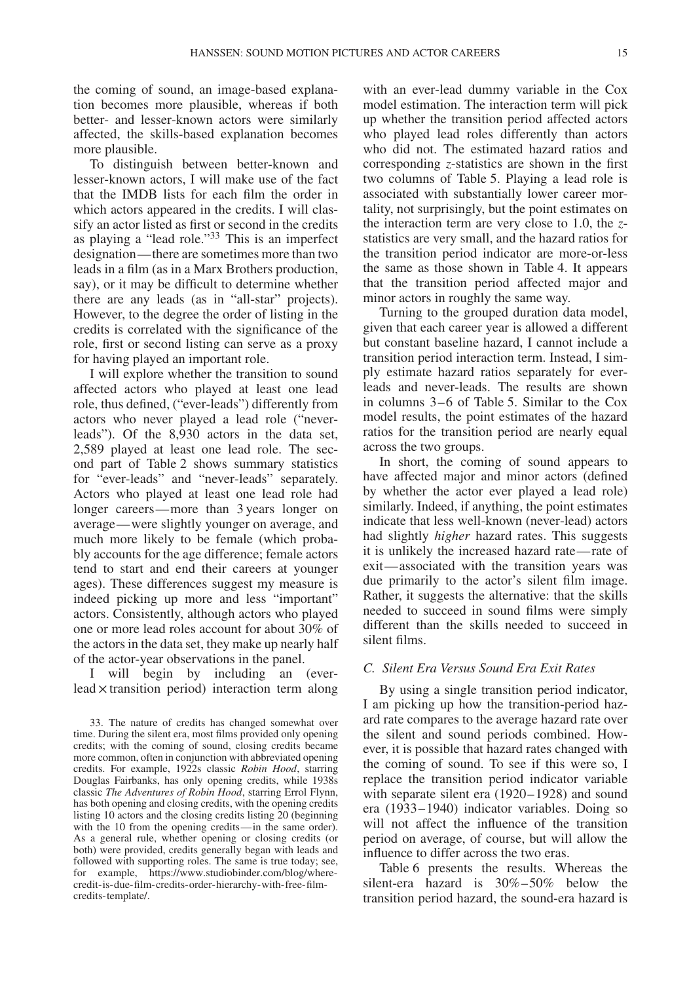the coming of sound, an image-based explanation becomes more plausible, whereas if both better- and lesser-known actors were similarly affected, the skills-based explanation becomes more plausible.

To distinguish between better-known and lesser-known actors, I will make use of the fact that the IMDB lists for each film the order in which actors appeared in the credits. I will classify an actor listed as first or second in the credits as playing a "lead role."<sup>33</sup> This is an imperfect designation—there are sometimes more than two leads in a film (as in a Marx Brothers production, say), or it may be difficult to determine whether there are any leads (as in "all-star" projects). However, to the degree the order of listing in the credits is correlated with the significance of the role, first or second listing can serve as a proxy for having played an important role.

I will explore whether the transition to sound affected actors who played at least one lead role, thus defined, ("ever-leads") differently from actors who never played a lead role ("neverleads"). Of the 8,930 actors in the data set, 2,589 played at least one lead role. The second part of Table 2 shows summary statistics for "ever-leads" and "never-leads" separately. Actors who played at least one lead role had longer careers—more than 3 years longer on average—were slightly younger on average, and much more likely to be female (which probably accounts for the age difference; female actors tend to start and end their careers at younger ages). These differences suggest my measure is indeed picking up more and less "important" actors. Consistently, although actors who played one or more lead roles account for about 30% of the actors in the data set, they make up nearly half of the actor-year observations in the panel.

I will begin by including an (ever $lead \times$  transition period) interaction term along with an ever-lead dummy variable in the Cox model estimation. The interaction term will pick up whether the transition period affected actors who played lead roles differently than actors who did not. The estimated hazard ratios and corresponding *z*-statistics are shown in the first two columns of Table 5. Playing a lead role is associated with substantially lower career mortality, not surprisingly, but the point estimates on the interaction term are very close to 1.0, the *z*statistics are very small, and the hazard ratios for the transition period indicator are more-or-less the same as those shown in Table 4. It appears that the transition period affected major and minor actors in roughly the same way.

Turning to the grouped duration data model, given that each career year is allowed a different but constant baseline hazard, I cannot include a transition period interaction term. Instead, I simply estimate hazard ratios separately for everleads and never-leads. The results are shown in columns 3–6 of Table 5. Similar to the Cox model results, the point estimates of the hazard ratios for the transition period are nearly equal across the two groups.

In short, the coming of sound appears to have affected major and minor actors (defined by whether the actor ever played a lead role) similarly. Indeed, if anything, the point estimates indicate that less well-known (never-lead) actors had slightly *higher* hazard rates. This suggests it is unlikely the increased hazard rate— rate of exit—associated with the transition years was due primarily to the actor's silent film image. Rather, it suggests the alternative: that the skills needed to succeed in sound films were simply different than the skills needed to succeed in silent films.

# *C. Silent Era Versus Sound Era Exit Rates*

By using a single transition period indicator, I am picking up how the transition-period hazard rate compares to the average hazard rate over the silent and sound periods combined. However, it is possible that hazard rates changed with the coming of sound. To see if this were so, I replace the transition period indicator variable with separate silent era (1920–1928) and sound era (1933–1940) indicator variables. Doing so will not affect the influence of the transition period on average, of course, but will allow the influence to differ across the two eras.

Table 6 presents the results. Whereas the silent-era hazard is 30%–50% below the transition period hazard, the sound-era hazard is

<sup>33.</sup> The nature of credits has changed somewhat over time. During the silent era, most films provided only opening credits; with the coming of sound, closing credits became more common, often in conjunction with abbreviated opening credits. For example, 1922s classic *Robin Hood*, starring Douglas Fairbanks, has only opening credits, while 1938s classic *The Adventures of Robin Hood*, starring Errol Flynn, has both opening and closing credits, with the opening credits listing 10 actors and the closing credits listing 20 (beginning with the 10 from the opening credits—in the same order). As a general rule, whether opening or closing credits (or both) were provided, credits generally began with leads and followed with supporting roles. The same is true today; see, for example, https://www.studiobinder.com/blog/wherecredit-is-due-film-credits-order-hierarchy-with-free-filmcredits-template/.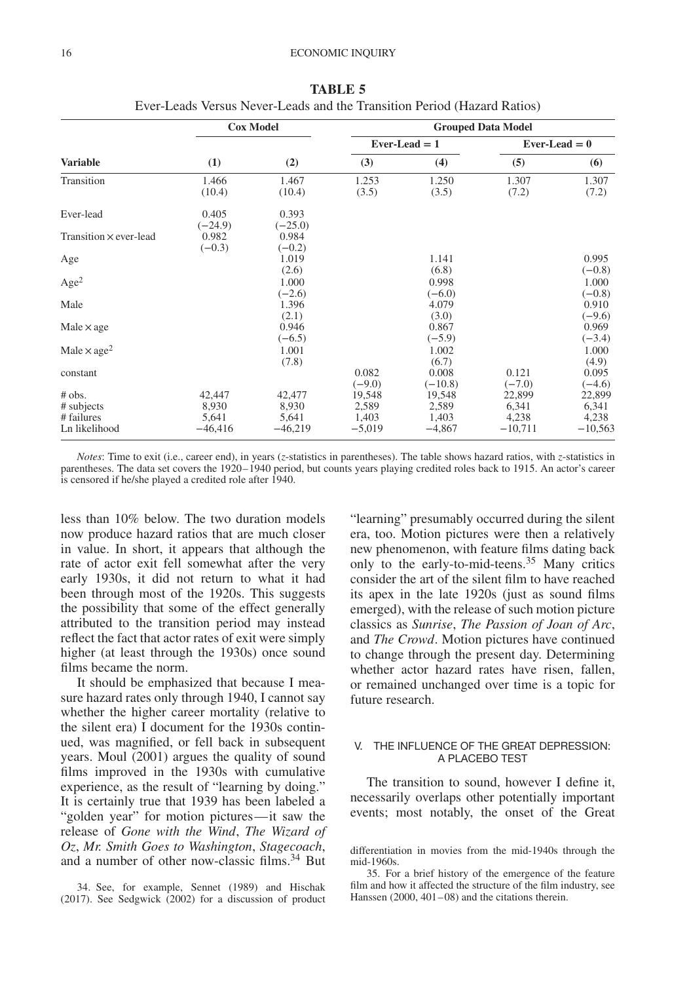|                                |                    | <b>Cox Model</b>           |                   |                            | <b>Grouped Data Model</b> |                               |
|--------------------------------|--------------------|----------------------------|-------------------|----------------------------|---------------------------|-------------------------------|
|                                |                    |                            |                   | Ever-Lead $= 1$            |                           | Ever-Lead $= 0$               |
| <b>Variable</b>                | (1)                | (2)                        | (3)               | (4)                        | (5)                       | (6)                           |
| Transition                     | 1.466<br>(10.4)    | 1.467<br>(10.4)            | 1.253<br>(3.5)    | 1.250<br>(3.5)             | 1.307<br>(7.2)            | 1.307<br>(7.2)                |
| Ever-lead                      | 0.405<br>$(-24.9)$ | 0.393<br>$(-25.0)$         |                   |                            |                           |                               |
| Transition $\times$ ever-lead  | 0.982<br>$(-0.3)$  | 0.984<br>$(-0.2)$          |                   |                            |                           |                               |
| Age                            |                    | 1.019<br>(2.6)             |                   | 1.141<br>(6.8)             |                           | 0.995<br>$(-0.8)$             |
| Age <sup>2</sup>               |                    | 1.000                      |                   | 0.998                      |                           | 1.000                         |
| Male                           |                    | $(-2.6)$<br>1.396          |                   | $(-6.0)$<br>4.079          |                           | $(-0.8)$<br>0.910             |
| Male $\times$ age              |                    | (2.1)<br>0.946<br>$(-6.5)$ |                   | (3.0)<br>0.867<br>$(-5.9)$ |                           | $(-9.6)$<br>0.969<br>$(-3.4)$ |
| Male $\times$ age <sup>2</sup> |                    | 1.001<br>(7.8)             |                   | 1.002<br>(6.7)             |                           | 1.000<br>(4.9)                |
| constant                       |                    |                            | 0.082<br>$(-9.0)$ | 0.008<br>$(-10.8)$         | 0.121<br>$(-7.0)$         | 0.095<br>$(-4.6)$             |
| # obs.                         | 42,447             | 42,477                     | 19,548            | 19,548                     | 22,899                    | 22,899                        |
| # subjects                     | 8,930              | 8,930                      | 2,589             | 2,589                      | 6,341                     | 6,341                         |
| # failures                     | 5,641              | 5,641                      | 1,403             | 1,403                      | 4,238                     | 4,238                         |
| Ln likelihood                  | $-46,416$          | $-46,219$                  | $-5,019$          | $-4,867$                   | $-10,711$                 | $-10,563$                     |

**TABLE 5** Ever-Leads Versus Never-Leads and the Transition Period (Hazard Ratios)

*Notes*: Time to exit (i.e., career end), in years (*z*-statistics in parentheses). The table shows hazard ratios, with *z*-statistics in parentheses. The data set covers the 1920–1940 period, but counts years playing credited roles back to 1915. An actor's career is censored if he/she played a credited role after 1940.

less than 10% below. The two duration models now produce hazard ratios that are much closer in value. In short, it appears that although the rate of actor exit fell somewhat after the very early 1930s, it did not return to what it had been through most of the 1920s. This suggests the possibility that some of the effect generally attributed to the transition period may instead reflect the fact that actor rates of exit were simply higher (at least through the 1930s) once sound films became the norm.

It should be emphasized that because I measure hazard rates only through 1940, I cannot say whether the higher career mortality (relative to the silent era) I document for the 1930s continued, was magnified, or fell back in subsequent years. Moul (2001) argues the quality of sound films improved in the 1930s with cumulative experience, as the result of "learning by doing." It is certainly true that 1939 has been labeled a "golden year" for motion pictures—it saw the release of *Gone with the Wind*, *The Wizard of Oz*, *Mr. Smith Goes to Washington*, *Stagecoach*, and a number of other now-classic films.<sup>34</sup> But

34. See, for example, Sennet (1989) and Hischak (2017). See Sedgwick (2002) for a discussion of product

"learning" presumably occurred during the silent era, too. Motion pictures were then a relatively new phenomenon, with feature films dating back only to the early-to-mid-teens.<sup>35</sup> Many critics consider the art of the silent film to have reached its apex in the late 1920s (just as sound films emerged), with the release of such motion picture classics as *Sunrise*, *The Passion of Joan of Arc*, and *The Crowd*. Motion pictures have continued to change through the present day. Determining whether actor hazard rates have risen, fallen, or remained unchanged over time is a topic for future research.

### V. THE INFLUENCE OF THE GREAT DEPRESSION: A PLACEBO TEST

The transition to sound, however I define it, necessarily overlaps other potentially important events; most notably, the onset of the Great

differentiation in movies from the mid-1940s through the mid-1960s.

<sup>35.</sup> For a brief history of the emergence of the feature film and how it affected the structure of the film industry, see Hanssen (2000, 401–08) and the citations therein.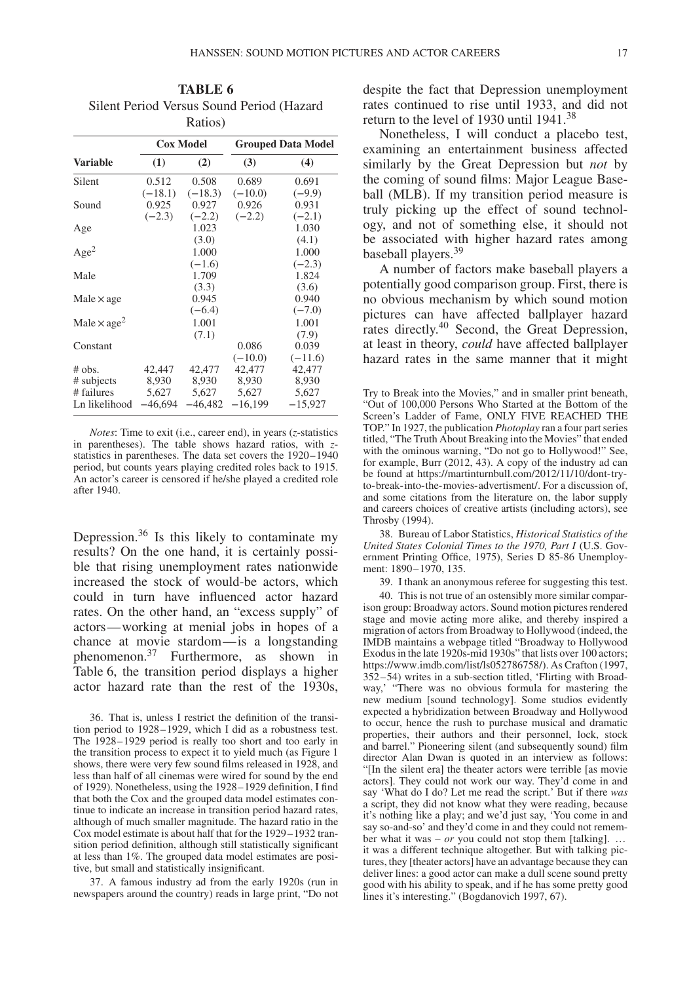**TABLE 6** Silent Period Versus Sound Period (Hazard Ratios)

|                                                     |                                       | <b>Cox Model</b>                      |                                       | <b>Grouped Data Model</b>             |
|-----------------------------------------------------|---------------------------------------|---------------------------------------|---------------------------------------|---------------------------------------|
| <b>Variable</b>                                     | (1)                                   | (2)                                   | (3)                                   | (4)                                   |
| Silent                                              | 0.512                                 | 0.508                                 | 0.689                                 | 0.691                                 |
| Sound                                               | $(-18.1)$<br>0.925                    | $(-18.3)$<br>0.927                    | $(-10.0)$<br>0.926                    | $(-9.9)$<br>0.931                     |
| Age                                                 | $(-2.3)$                              | $(-2.2)$<br>1.023<br>(3.0)            | $(-2.2)$                              | $(-2.1)$<br>1.030<br>(4.1)            |
| Age <sup>2</sup>                                    |                                       | 1.000<br>$(-1.6)$                     |                                       | 1.000<br>$(-2.3)$                     |
| Male                                                |                                       | 1.709<br>(3.3)                        |                                       | 1.824<br>(3.6)                        |
| Male $\times$ age                                   |                                       | 0.945<br>$(-6.4)$                     |                                       | 0.940<br>$(-7.0)$                     |
| Male $\times$ age <sup>2</sup>                      |                                       | 1.001<br>(7.1)                        |                                       | 1.001<br>(7.9)                        |
| Constant                                            |                                       |                                       | 0.086<br>$(-10.0)$                    | 0.039<br>$(-11.6)$                    |
| # obs.<br># subjects<br># failures<br>Ln likelihood | 42,447<br>8,930<br>5,627<br>$-46,694$ | 42,477<br>8,930<br>5,627<br>$-46,482$ | 42,477<br>8,930<br>5,627<br>$-16,199$ | 42,477<br>8,930<br>5,627<br>$-15,927$ |

*Notes*: Time to exit (i.e., career end), in years (*z*-statistics in parentheses). The table shows hazard ratios, with *z*statistics in parentheses. The data set covers the 1920–1940 period, but counts years playing credited roles back to 1915. An actor's career is censored if he/she played a credited role after 1940.

Depression.<sup>36</sup> Is this likely to contaminate my results? On the one hand, it is certainly possible that rising unemployment rates nationwide increased the stock of would-be actors, which could in turn have influenced actor hazard rates. On the other hand, an "excess supply" of actors—working at menial jobs in hopes of a chance at movie stardom—is a longstanding phenomenon.<sup>37</sup> Furthermore, as shown in Table 6, the transition period displays a higher actor hazard rate than the rest of the 1930s,

36. That is, unless I restrict the definition of the transition period to 1928–1929, which I did as a robustness test. The 1928–1929 period is really too short and too early in the transition process to expect it to yield much (as Figure 1 shows, there were very few sound films released in 1928, and less than half of all cinemas were wired for sound by the end of 1929). Nonetheless, using the 1928–1929 definition, I find that both the Cox and the grouped data model estimates continue to indicate an increase in transition period hazard rates, although of much smaller magnitude. The hazard ratio in the Cox model estimate is about half that for the 1929–1932 transition period definition, although still statistically significant at less than 1%. The grouped data model estimates are positive, but small and statistically insignificant.

37. A famous industry ad from the early 1920s (run in newspapers around the country) reads in large print, "Do not despite the fact that Depression unemployment rates continued to rise until 1933, and did not return to the level of 1930 until 1941.<sup>38</sup>

Nonetheless, I will conduct a placebo test, examining an entertainment business affected similarly by the Great Depression but *not* by the coming of sound films: Major League Baseball (MLB). If my transition period measure is truly picking up the effect of sound technology, and not of something else, it should not be associated with higher hazard rates among baseball players.<sup>39</sup>

A number of factors make baseball players a potentially good comparison group. First, there is no obvious mechanism by which sound motion pictures can have affected ballplayer hazard rates directly.<sup>40</sup> Second, the Great Depression, at least in theory, *could* have affected ballplayer hazard rates in the same manner that it might

Try to Break into the Movies," and in smaller print beneath, "Out of 100,000 Persons Who Started at the Bottom of the Screen's Ladder of Fame, ONLY FIVE REACHED THE TOP." In 1927, the publication *Photoplay* ran a four part series titled, "The Truth About Breaking into the Movies" that ended with the ominous warning, "Do not go to Hollywood!" See, for example, Burr (2012, 43). A copy of the industry ad can be found at https://martinturnbull.com/2012/11/10/dont-tryto-break-into-the-movies-advertisment/. For a discussion of, and some citations from the literature on, the labor supply and careers choices of creative artists (including actors), see Throsby (1994).

38. Bureau of Labor Statistics, *Historical Statistics of the United States Colonial Times to the 1970, Part I* (U.S. Government Printing Office, 1975), Series D 85-86 Unemployment: 1890–1970, 135.

39. I thank an anonymous referee for suggesting this test.

40. This is not true of an ostensibly more similar comparison group: Broadway actors. Sound motion pictures rendered stage and movie acting more alike, and thereby inspired a migration of actors from Broadway to Hollywood (indeed, the IMDB maintains a webpage titled "Broadway to Hollywood Exodus in the late 1920s-mid 1930s" that lists over 100 actors; https://www.imdb.com/list/ls052786758/). As Crafton (1997, 352–54) writes in a sub-section titled, 'Flirting with Broadway,' "There was no obvious formula for mastering the new medium [sound technology]. Some studios evidently expected a hybridization between Broadway and Hollywood to occur, hence the rush to purchase musical and dramatic properties, their authors and their personnel, lock, stock and barrel." Pioneering silent (and subsequently sound) film director Alan Dwan is quoted in an interview as follows: "[In the silent era] the theater actors were terrible [as movie actors]. They could not work our way. They'd come in and say 'What do I do? Let me read the script.' But if there *was* a script, they did not know what they were reading, because it's nothing like a play; and we'd just say, 'You come in and say so-and-so' and they'd come in and they could not remember what it was –  $or$  you could not stop them [talking]. ... it was a different technique altogether. But with talking pictures, they [theater actors] have an advantage because they can deliver lines: a good actor can make a dull scene sound pretty good with his ability to speak, and if he has some pretty good lines it's interesting." (Bogdanovich 1997, 67).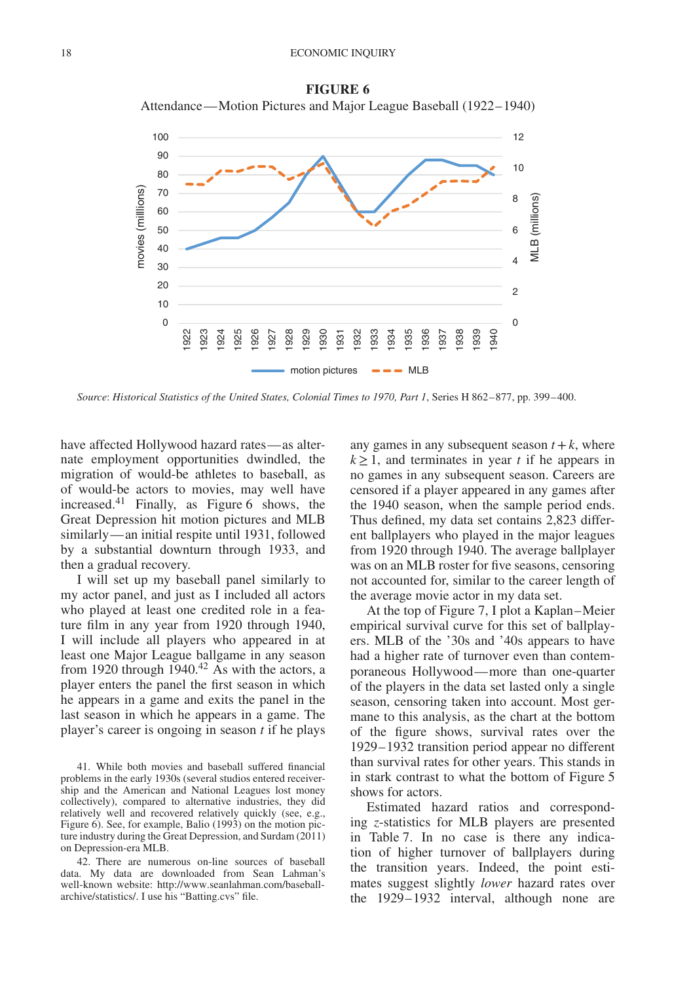100 12  $90$ 10 80 movies (milllions) movies (milllions) 70 8 MLB (millions) (millions) 60 50 6  $\mathbf{\Omega}$ 40 ₹  $\overline{A}$ 30 20 2 10  $\overline{0}$  $\overline{0}$ 1922 1923 1938 1940 1924 1925 1926 1929 **1930** 1932 1933  $\frac{32}{5}$ 1939 1928 1931  $\frac{5}{6}$ 1936 **1937 92** motion pictures  $\bullet - \bullet$  MLB

**FIGURE 6** Attendance—Motion Pictures and Major League Baseball (1922–1940)

*Source*: *Historical Statistics of the United States, Colonial Times to 1970, Part 1*, Series H 862–877, pp. 399–400.

have affected Hollywood hazard rates—as alternate employment opportunities dwindled, the migration of would-be athletes to baseball, as of would-be actors to movies, may well have increased.<sup>41</sup> Finally, as Figure 6 shows, the Great Depression hit motion pictures and MLB similarly—an initial respite until 1931, followed by a substantial downturn through 1933, and then a gradual recovery.

I will set up my baseball panel similarly to my actor panel, and just as I included all actors who played at least one credited role in a feature film in any year from 1920 through 1940, I will include all players who appeared in at least one Major League ballgame in any season from 1920 through 1940.<sup>42</sup> As with the actors, a player enters the panel the first season in which he appears in a game and exits the panel in the last season in which he appears in a game. The player's career is ongoing in season *t* if he plays

41. While both movies and baseball suffered financial problems in the early 1930s (several studios entered receivership and the American and National Leagues lost money collectively), compared to alternative industries, they did relatively well and recovered relatively quickly (see, e.g., Figure 6). See, for example, Balio (1993) on the motion picture industry during the Great Depression, and Surdam (2011) on Depression-era MLB.

42. There are numerous on-line sources of baseball data. My data are downloaded from Sean Lahman's well-known website: http://www.seanlahman.com/baseballarchive/statistics/. I use his "Batting.cvs" file.

any games in any subsequent season  $t + k$ , where  $k \geq 1$ , and terminates in year *t* if he appears in no games in any subsequent season. Careers are censored if a player appeared in any games after the 1940 season, when the sample period ends. Thus defined, my data set contains 2,823 different ballplayers who played in the major leagues from 1920 through 1940. The average ballplayer was on an MLB roster for five seasons, censoring not accounted for, similar to the career length of the average movie actor in my data set.

At the top of Figure 7, I plot a Kaplan–Meier empirical survival curve for this set of ballplayers. MLB of the '30s and '40s appears to have had a higher rate of turnover even than contemporaneous Hollywood—more than one-quarter of the players in the data set lasted only a single season, censoring taken into account. Most germane to this analysis, as the chart at the bottom of the figure shows, survival rates over the 1929–1932 transition period appear no different than survival rates for other years. This stands in in stark contrast to what the bottom of Figure 5 shows for actors.

Estimated hazard ratios and corresponding *z*-statistics for MLB players are presented in Table 7. In no case is there any indication of higher turnover of ballplayers during the transition years. Indeed, the point estimates suggest slightly *lower* hazard rates over the 1929–1932 interval, although none are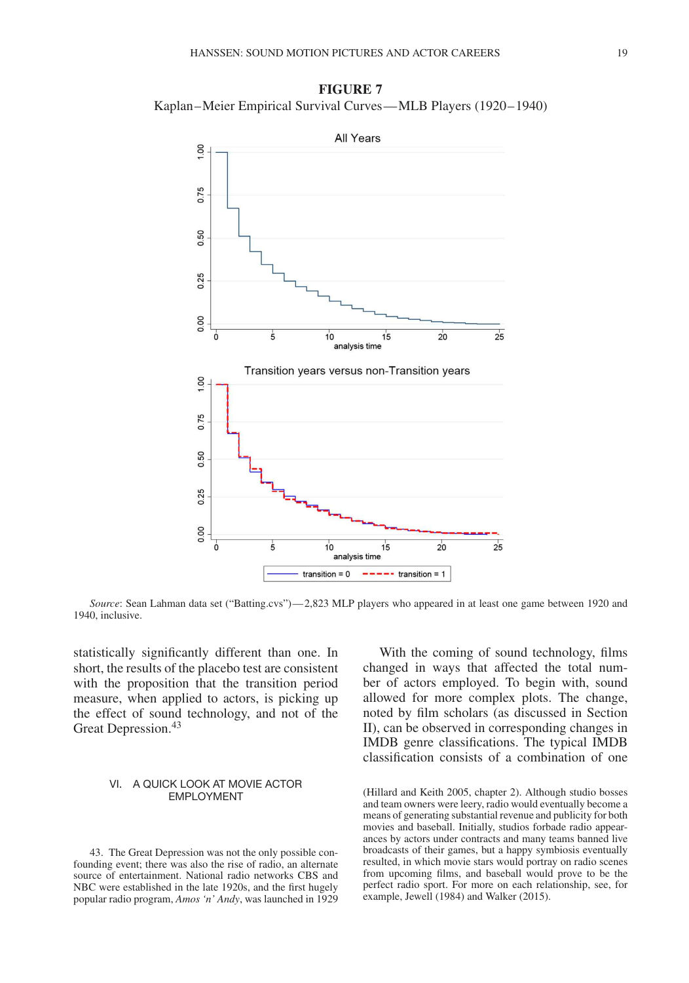



*Source*: Sean Lahman data set ("Batting.cvs")—2,823 MLP players who appeared in at least one game between 1920 and 1940, inclusive.

statistically significantly different than one. In short, the results of the placebo test are consistent with the proposition that the transition period measure, when applied to actors, is picking up the effect of sound technology, and not of the Great Depression.<sup>43</sup>

# VI. A QUICK LOOK AT MOVIE ACTOR EMPLOYMENT

43. The Great Depression was not the only possible confounding event; there was also the rise of radio, an alternate source of entertainment. National radio networks CBS and NBC were established in the late 1920s, and the first hugely popular radio program, *Amos 'n' Andy*, was launched in 1929

With the coming of sound technology, films changed in ways that affected the total number of actors employed. To begin with, sound allowed for more complex plots. The change, noted by film scholars (as discussed in Section II), can be observed in corresponding changes in IMDB genre classifications. The typical IMDB classification consists of a combination of one

(Hillard and Keith 2005, chapter 2). Although studio bosses and team owners were leery, radio would eventually become a means of generating substantial revenue and publicity for both movies and baseball. Initially, studios forbade radio appearances by actors under contracts and many teams banned live broadcasts of their games, but a happy symbiosis eventually resulted, in which movie stars would portray on radio scenes from upcoming films, and baseball would prove to be the perfect radio sport. For more on each relationship, see, for example, Jewell (1984) and Walker (2015).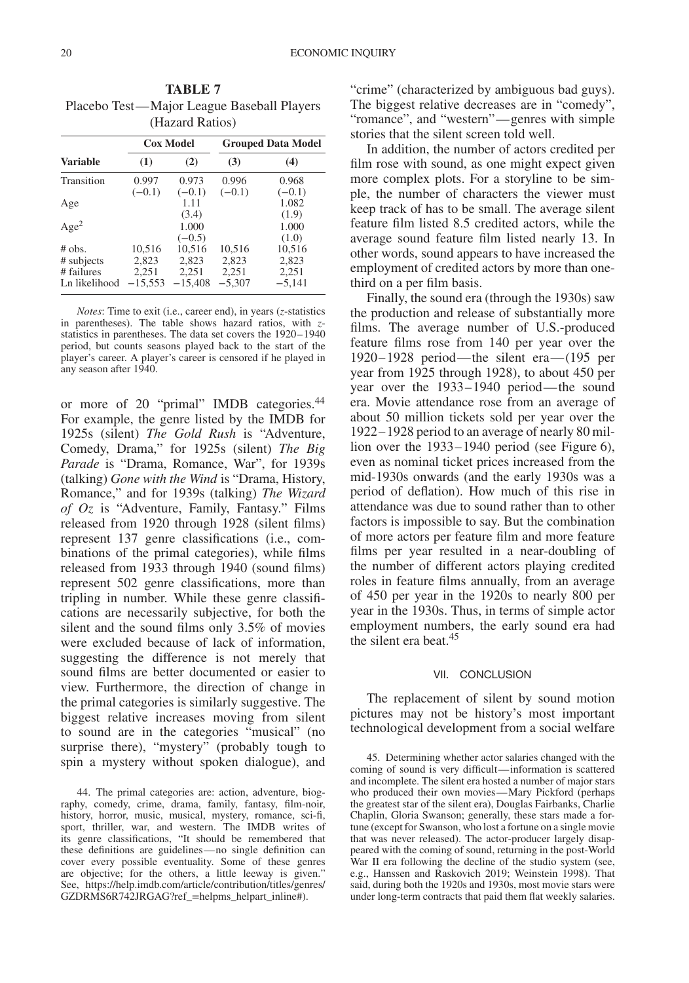**TABLE 7** Placebo Test—Major League Baseball Players (Hazard Ratios)

|                                                       |                                       | <b>Cox Model</b>                      | <b>Grouped Data Model</b>            |                                      |  |
|-------------------------------------------------------|---------------------------------------|---------------------------------------|--------------------------------------|--------------------------------------|--|
| <b>Variable</b>                                       | (1)                                   | (2)                                   | (3)                                  | (4)                                  |  |
| Transition                                            | 0.997<br>$(-0.1)$                     | 0.973<br>$(-0.1)$                     | 0.996<br>$(-0.1)$                    | 0.968<br>$(-0.1)$                    |  |
| Age                                                   |                                       | 1.11<br>(3.4)                         |                                      | 1.082<br>(1.9)                       |  |
| Age <sup>2</sup>                                      |                                       | 1.000<br>$(-0.5)$                     |                                      | 1.000<br>(1.0)                       |  |
| $#$ obs.<br># subjects<br># failures<br>Ln likelihood | 10,516<br>2,823<br>2,251<br>$-15.553$ | 10,516<br>2,823<br>2.251<br>$-15,408$ | 10,516<br>2,823<br>2.251<br>$-5.307$ | 10,516<br>2,823<br>2,251<br>$-5.141$ |  |

*Notes*: Time to exit (i.e., career end), in years (*z*-statistics in parentheses). The table shows hazard ratios, with *z*statistics in parentheses. The data set covers the 1920–1940 period, but counts seasons played back to the start of the player's career. A player's career is censored if he played in any season after 1940.

or more of 20 "primal" IMDB categories.<sup>44</sup> For example, the genre listed by the IMDB for 1925s (silent) *The Gold Rush* is "Adventure, Comedy, Drama," for 1925s (silent) *The Big Parade* is "Drama, Romance, War", for 1939s (talking) *Gone with the Wind* is "Drama, History, Romance," and for 1939s (talking) *The Wizard of Oz* is "Adventure, Family, Fantasy." Films released from 1920 through 1928 (silent films) represent 137 genre classifications (i.e., combinations of the primal categories), while films released from 1933 through 1940 (sound films) represent 502 genre classifications, more than tripling in number. While these genre classifications are necessarily subjective, for both the silent and the sound films only 3.5% of movies were excluded because of lack of information, suggesting the difference is not merely that sound films are better documented or easier to view. Furthermore, the direction of change in the primal categories is similarly suggestive. The biggest relative increases moving from silent to sound are in the categories "musical" (no surprise there), "mystery" (probably tough to spin a mystery without spoken dialogue), and

44. The primal categories are: action, adventure, biography, comedy, crime, drama, family, fantasy, film-noir, history, horror, music, musical, mystery, romance, sci-fi, sport, thriller, war, and western. The IMDB writes of its genre classifications, "It should be remembered that these definitions are guidelines—no single definition can cover every possible eventuality. Some of these genres are objective; for the others, a little leeway is given." See, https://help.imdb.com/article/contribution/titles/genres/ GZDRMS6R742JRGAG?ref\_=helpms\_helpart\_inline#).

"crime" (characterized by ambiguous bad guys). The biggest relative decreases are in "comedy", "romance", and "western"—genres with simple stories that the silent screen told well.

In addition, the number of actors credited per film rose with sound, as one might expect given more complex plots. For a storyline to be simple, the number of characters the viewer must keep track of has to be small. The average silent feature film listed 8.5 credited actors, while the average sound feature film listed nearly 13. In other words, sound appears to have increased the employment of credited actors by more than onethird on a per film basis.

Finally, the sound era (through the 1930s) saw the production and release of substantially more films. The average number of U.S.-produced feature films rose from 140 per year over the 1920–1928 period—the silent era— (195 per year from 1925 through 1928), to about 450 per year over the 1933–1940 period—the sound era. Movie attendance rose from an average of about 50 million tickets sold per year over the 1922–1928 period to an average of nearly 80 million over the 1933–1940 period (see Figure 6), even as nominal ticket prices increased from the mid-1930s onwards (and the early 1930s was a period of deflation). How much of this rise in attendance was due to sound rather than to other factors is impossible to say. But the combination of more actors per feature film and more feature films per year resulted in a near-doubling of the number of different actors playing credited roles in feature films annually, from an average of 450 per year in the 1920s to nearly 800 per year in the 1930s. Thus, in terms of simple actor employment numbers, the early sound era had the silent era beat.<sup>45</sup>

# VII. CONCLUSION

The replacement of silent by sound motion pictures may not be history's most important technological development from a social welfare

<sup>45.</sup> Determining whether actor salaries changed with the coming of sound is very difficult—information is scattered and incomplete. The silent era hosted a number of major stars who produced their own movies—Mary Pickford (perhaps the greatest star of the silent era), Douglas Fairbanks, Charlie Chaplin, Gloria Swanson; generally, these stars made a fortune (except for Swanson, who lost a fortune on a single movie that was never released). The actor-producer largely disappeared with the coming of sound, returning in the post-World War II era following the decline of the studio system (see, e.g., Hanssen and Raskovich 2019; Weinstein 1998). That said, during both the 1920s and 1930s, most movie stars were under long-term contracts that paid them flat weekly salaries.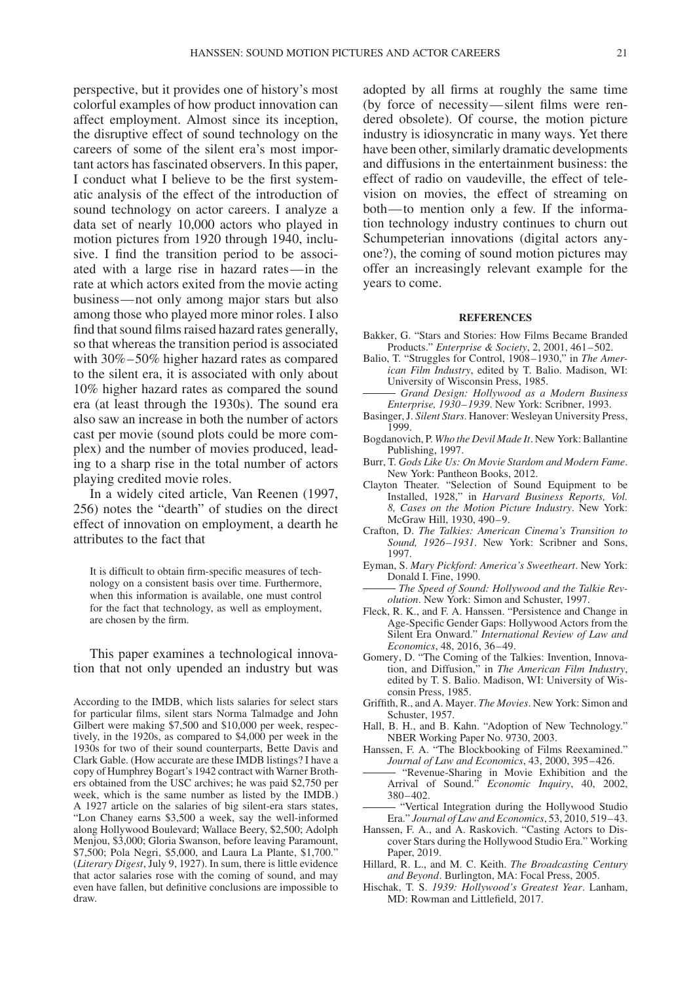perspective, but it provides one of history's most colorful examples of how product innovation can affect employment. Almost since its inception, the disruptive effect of sound technology on the careers of some of the silent era's most important actors has fascinated observers. In this paper, I conduct what I believe to be the first systematic analysis of the effect of the introduction of sound technology on actor careers. I analyze a data set of nearly 10,000 actors who played in motion pictures from 1920 through 1940, inclusive. I find the transition period to be associated with a large rise in hazard rates—in the rate at which actors exited from the movie acting business—not only among major stars but also among those who played more minor roles. I also find that sound films raised hazard rates generally, so that whereas the transition period is associated with 30%–50% higher hazard rates as compared to the silent era, it is associated with only about 10% higher hazard rates as compared the sound era (at least through the 1930s). The sound era also saw an increase in both the number of actors cast per movie (sound plots could be more complex) and the number of movies produced, leading to a sharp rise in the total number of actors playing credited movie roles.

In a widely cited article, Van Reenen (1997, 256) notes the "dearth" of studies on the direct effect of innovation on employment, a dearth he attributes to the fact that

It is difficult to obtain firm-specific measures of technology on a consistent basis over time. Furthermore, when this information is available, one must control for the fact that technology, as well as employment, are chosen by the firm.

This paper examines a technological innovation that not only upended an industry but was

According to the IMDB, which lists salaries for select stars for particular films, silent stars Norma Talmadge and John Gilbert were making \$7,500 and \$10,000 per week, respectively, in the 1920s, as compared to \$4,000 per week in the 1930s for two of their sound counterparts, Bette Davis and Clark Gable. (How accurate are these IMDB listings? I have a copy of Humphrey Bogart's 1942 contract with Warner Brothers obtained from the USC archives; he was paid \$2,750 per week, which is the same number as listed by the IMDB.) A 1927 article on the salaries of big silent-era stars states, "Lon Chaney earns \$3,500 a week, say the well-informed along Hollywood Boulevard; Wallace Beery, \$2,500; Adolph Menjou, \$3,000; Gloria Swanson, before leaving Paramount, \$7,500; Pola Negri, \$5,000, and Laura La Plante, \$1,700." (*Literary Digest*, July 9, 1927). In sum, there is little evidence that actor salaries rose with the coming of sound, and may even have fallen, but definitive conclusions are impossible to draw.

adopted by all firms at roughly the same time (by force of necessity—silent films were rendered obsolete). Of course, the motion picture industry is idiosyncratic in many ways. Yet there have been other, similarly dramatic developments and diffusions in the entertainment business: the effect of radio on vaudeville, the effect of television on movies, the effect of streaming on both—to mention only a few. If the information technology industry continues to churn out Schumpeterian innovations (digital actors anyone?), the coming of sound motion pictures may offer an increasingly relevant example for the years to come.

#### **REFERENCES**

- Bakker, G. "Stars and Stories: How Films Became Branded Products." *Enterprise & Society*, 2, 2001, 461–502.
- Balio, T. "Struggles for Control, 1908–1930," in *The American Film Industry*, edited by T. Balio. Madison, WI: University of Wisconsin Press, 1985.
	- *Grand Design: Hollywood as a Modern Business Enterprise, 1930–1939*. New York: Scribner, 1993.
- Basinger, J. *Silent Stars*. Hanover: Wesleyan University Press, 1999.
- Bogdanovich, P. *Who the Devil Made It*. New York: Ballantine Publishing, 1997.
- Burr, T. *Gods Like Us: On Movie Stardom and Modern Fame*. New York: Pantheon Books, 2012.
- Clayton Theater. "Selection of Sound Equipment to be Installed, 1928," in *Harvard Business Reports, Vol. 8, Cases on the Motion Picture Industry*. New York: McGraw Hill, 1930, 490–9.
- Crafton, D. *The Talkies: American Cinema's Transition to Sound, 1926–1931*. New York: Scribner and Sons, 1997.
- Eyman, S. *Mary Pickford: America's Sweetheart*. New York: Donald I. Fine, 1990.
- *The Speed of Sound: Hollywood and the Talkie Revolution*. New York: Simon and Schuster, 1997.
- Fleck, R. K., and F. A. Hanssen. "Persistence and Change in Age-Specific Gender Gaps: Hollywood Actors from the Silent Era Onward." *International Review of Law and Economics*, 48, 2016, 36–49.
- Gomery, D. "The Coming of the Talkies: Invention, Innovation, and Diffusion," in *The American Film Industry*, edited by T. S. Balio. Madison, WI: University of Wisconsin Press, 1985.
- Griffith, R., and A. Mayer. *The Movies*. New York: Simon and Schuster, 1957.
- Hall, B. H., and B. Kahn. "Adoption of New Technology." NBER Working Paper No. 9730, 2003.
- Hanssen, F. A. "The Blockbooking of Films Reexamined." *Journal of Law and Economics*, 43, 2000, 395–426.
- "Revenue-Sharing in Movie Exhibition and the Arrival of Sound." *Economic Inquiry*, 40, 2002, 380–402.
- "Vertical Integration during the Hollywood Studio Era." *Journal of Law and Economics*, 53, 2010, 519–43.
- Hanssen, F. A., and A. Raskovich. "Casting Actors to Discover Stars during the Hollywood Studio Era." Working Paper, 2019.
- Hillard, R. L., and M. C. Keith. *The Broadcasting Century and Beyond*. Burlington, MA: Focal Press, 2005.
- Hischak, T. S. *1939: Hollywood's Greatest Year*. Lanham, MD: Rowman and Littlefield, 2017.